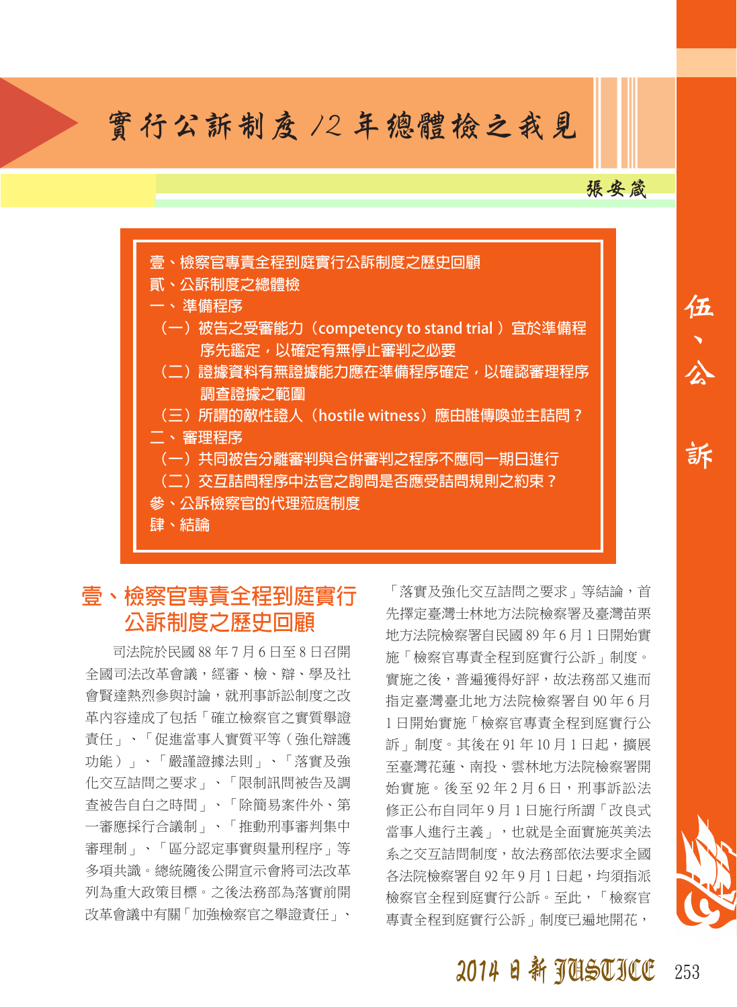# **實行公訴制度 12 年總體檢之我見**



## **壹、檢察官專責全程到庭實行 公訴制度之歷史回顧**

司法院於民國 88 年 7 月 6 日至 8 日召開 全國司法改革會議,經審、檢、辯、學及社 會賢達熱烈參與討論,就刑事訴訟制度之改 革內容達成了包括「確立檢察官之實質舉證 責任」、「促進當事人實質平等(強化辯護 功能)」、「嚴謹證據法則」、「落實及強 化交互詰問之要求」、「限制訊問被告及調 查被告自白之時間」、「除簡易案件外、第 一審應採行合議制」、「推動刑事審判集中 審理制」、「區分認定事實與量刑程序」等 多項共識。總統隨後公開宣示會將司法改革 列為重大政策目標。之後法務部為落實前開 改革會議中有關「加強檢察官之舉證責任」、

「落實及強化交互詰問之要求」等結論,首 先擇定臺灣士林地方法院檢察署及臺灣苗栗 地方法院檢察署自民國 89 年 6 月 1 日開始實 施「檢察官專責全程到庭實行公訴」制度。 實施之後,普遍獲得好評,故法務部又進而 指定臺灣臺北地方法院檢察署自 90 年 6 月 1 日開始實施「檢察官專責全程到庭實行公 訴 | 制度。其後在 91 年 10 月 1 日起, 擴展 至臺灣花蓮、南投、雲林地方法院檢察署開 始實施。後至 92 年 2 月 6 日,刑事訴訟法 修正公布自同年 9 月 1 日施行所謂「改良式 當事人進行主義」,也就是全面實施英美法 系之交互詰問制度,故法務部依法要求全國 各法院檢察署自92年9月1日起,均須指派 檢察官全程到庭實行公訴。至此,「檢察官 專責全程到庭實行公訴」制度已遍地開花,



2014 日新 TUSTICE 253

**張安箴**

伍

訴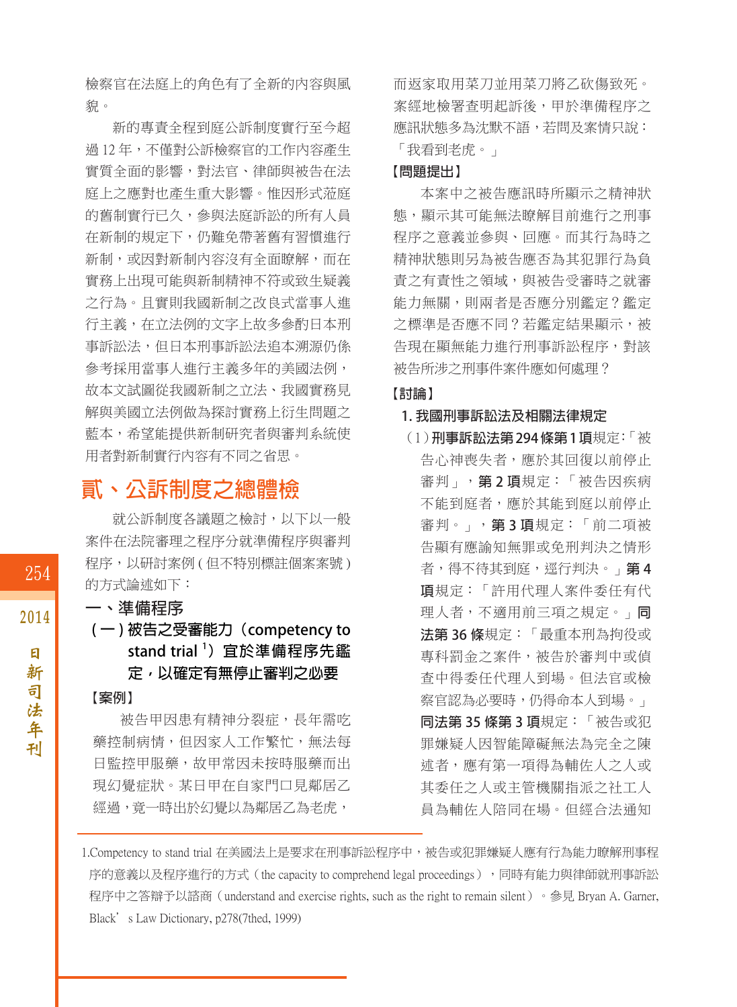檢察官在法庭上的角色有了全新的內容與風 貌。

新的專責全程到庭公訴制度實行至今超 過 12 年,不僅對公訴檢察官的工作內容產生 實質全面的影響,對法官、律師與被告在法 庭上之應對也產生重大影響。惟因形式蒞庭 的舊制實行已久,參與法庭訴訟的所有人員 在新制的規定下,仍難免帶著舊有習慣進行 新制,或因對新制內容沒有全面瞭解,而在 實務上出現可能與新制精神不符或致生疑義 之行為。且實則我國新制之改良式當事人進 行主義,在立法例的文字上故多參酌日本刑 事訴訟法,但日本刑事訴訟法追本溯源仍係 參考採用當事人進行主義多年的美國法例, 故本文試圖從我國新制之立法、我國實務見 解與美國立法例做為探討實務上衍生問題之 藍本,希望能提供新制研究者與審判系統使 用者對新制實行內容有不同之省思。

## **貳、公訴制度之總體檢**

就公訴制度各議題之檢討,以下以一般 案件在法院審理之程序分就準備程序與審判 程序,以研討案例 ( 但不特別標註個案案號 ) 的方式論述如下:

### **一、準備程序**

 **( 一 ) 被告之受審能力(competency to stand trial <sup>1</sup> )宜於準備程序先鑑 定,以確定有無停止審判之必要**

### **【案例】**

被告甲因患有精神分裂症,長年需吃 藥控制病情, 但因家人工作繁忙, 無法每 日監控甲服藥,故甲常因未按時服藥而出 現幻覺症狀。某日甲在自家門口見鄰居乙 經過,竟一時出於幻覺以為鄰居乙為老虎,

而返家取用菜刀並用菜刀將乙砍傷致死。 案經地檢署查明起訴後,甲於準備程序之 應訊狀態多為沈默不語,若問及案情只說: 「我看到老虎。」

### **【問題提出】**

本案中之被告應訊時所顯示之精神狀 態,顯示其可能無法瞭解目前進行之刑事 程序之意義並參與、回應。而其行為時之 精神狀態則另為被告應否為其犯罪行為負 責之有責性之領域,與被告受審時之就審 能力無關,則兩者是否應分別鑑定?鑑定 之標準是否應不同?若鑑定結果顯示,被 告現在顯無能力進行刑事訴訟程序,對該 被告所涉之刑事件案件應如何處理?

### **【討論】**

### **1. 我國刑事訴訟法及相關法律規定**

(1)**刑事訴訟法第 294 條第 1 項**規定:「被 告心神喪失者,應於其回復以前停止 審判」,**第2項**規定:「被告因疾病 不能到庭者,應於其能到庭以前停止 審判。」,**第3項**規定:「前二項被 告顯有應諭知無罪或免刑判決之情形 者,得不待其到庭,逕行判決。」 第4 **項**規定:「許用代理人案件委任有代 理人者,不適用前三項之規定。」**同 法第 36 條**規定:「最重本刑為拘役或 專科罰金之案件,被告於審判中或偵 查中得委任代理人到場。但法官或檢 察官認為必要時,仍得命本人到場。」 **同法第 35 條第 3 項**規定:「被告或犯 罪嫌疑人因智能障礙無法為完全之陳 述者,應有第一項得為輔佐人之人或 其委任之人或主管機關指派之社工人 員為輔佐人陪同在場。但經合法通知

1.Competency to stand trial 在美國法上是要求在刑事訴訟程序中,被告或犯罪嫌疑人應有行為能力瞭解刑事程 序的意義以及程序進行的方式 (the capacity to comprehend legal proceedings),同時有能力與律師就刑事訴訟 程序中之答辯予以諮商(understand and exercise rights, such as the right to remain silent)。參見 Bryan A. Garner, Black's Law Dictionary, p278(7thed, 1999)

254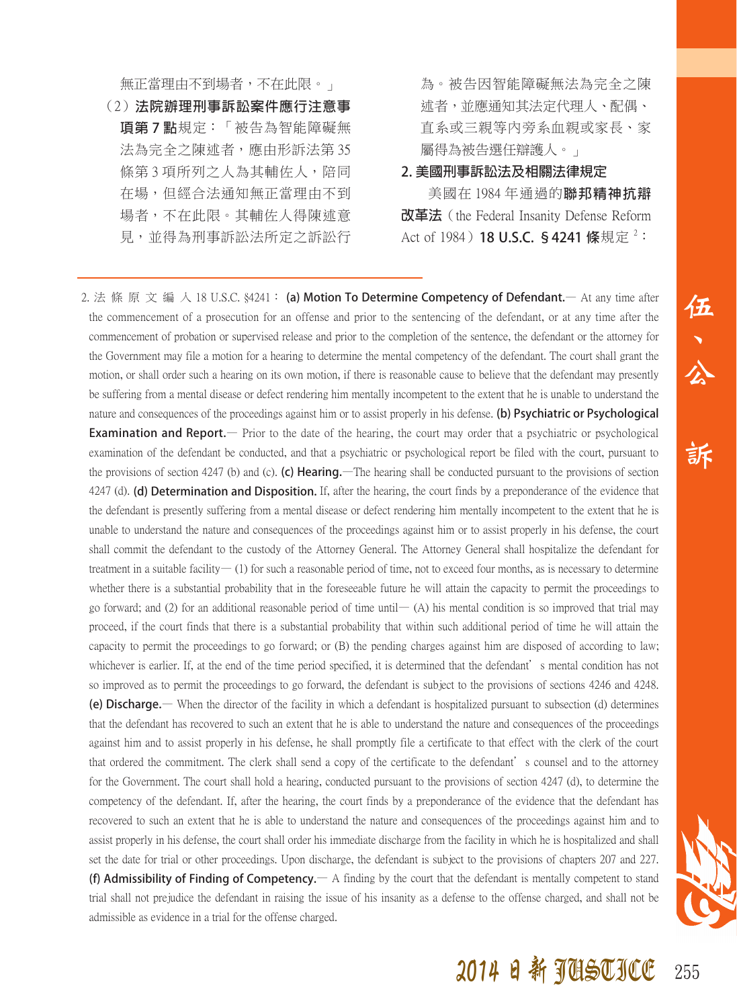無正當理由不到場者,不在此限。」

(2)**法院辦理刑事訴訟案件應行注意事 項第 7 點**規定:「被告為智能障礙無 法為完全之陳述者,應由形訴法第 35 條第 3 項所列之人為其輔佐人,陪同 在場,但經合法通知無正當理由不到 場者,不在此限。其輔佐人得陳述意 見,並得為刑事訴訟法所定之訴訟行

為。被告因智能障礙無法為完全之陳 述者,並應通知其法定代理人、配偶、 直系或三親等內旁系血親或家長、家 屬得為被告選任辯護人。」

### **2. 美國刑事訴訟法及相關法律規定**

美國在 1984 年通過的**聯邦精神抗辯 改革法**(the Federal Insanity Defense Reform Act of 1984)**18 U.S.C. §4241** 條規定 <sup>2</sup>:

2. 法 條 原 文 編 入 18 U.S.C. §4241: **(a) Motion To Determine Competency of Defendant.**— At any time after the commencement of a prosecution for an offense and prior to the sentencing of the defendant, or at any time after the commencement of probation or supervised release and prior to the completion of the sentence, the defendant or the attorney for the Government may file a motion for a hearing to determine the mental competency of the defendant. The court shall grant the motion, or shall order such a hearing on its own motion, if there is reasonable cause to believe that the defendant may presently be suffering from a mental disease or defect rendering him mentally incompetent to the extent that he is unable to understand the nature and consequences of the proceedings against him or to assist properly in his defense. **(b) Psychiatric or Psychological Examination and Report.**— Prior to the date of the hearing, the court may order that a psychiatric or psychological examination of the defendant be conducted, and that a psychiatric or psychological report be filed with the court, pursuant to the provisions of section 4247 (b) and (c). **(c) Hearing.**—The hearing shall be conducted pursuant to the provisions of section 4247 (d). **(d) Determination and Disposition.** If, after the hearing, the court finds by a preponderance of the evidence that the defendant is presently suffering from a mental disease or defect rendering him mentally incompetent to the extent that he is unable to understand the nature and consequences of the proceedings against him or to assist properly in his defense, the court shall commit the defendant to the custody of the Attorney General. The Attorney General shall hospitalize the defendant for treatment in a suitable facility— (1) for such a reasonable period of time, not to exceed four months, as is necessary to determine whether there is a substantial probability that in the foreseeable future he will attain the capacity to permit the proceedings to go forward; and (2) for an additional reasonable period of time until— (A) his mental condition is so improved that trial may proceed, if the court finds that there is a substantial probability that within such additional period of time he will attain the capacity to permit the proceedings to go forward; or (B) the pending charges against him are disposed of according to law; whichever is earlier. If, at the end of the time period specified, it is determined that the defendant's mental condition has not so improved as to permit the proceedings to go forward, the defendant is subject to the provisions of sections 4246 and 4248. **(e) Discharge.**— When the director of the facility in which a defendant is hospitalized pursuant to subsection (d) determines that the defendant has recovered to such an extent that he is able to understand the nature and consequences of the proceedings against him and to assist properly in his defense, he shall promptly file a certificate to that effect with the clerk of the court that ordered the commitment. The clerk shall send a copy of the certificate to the defendant's counsel and to the attorney for the Government. The court shall hold a hearing, conducted pursuant to the provisions of section 4247 (d), to determine the competency of the defendant. If, after the hearing, the court finds by a preponderance of the evidence that the defendant has recovered to such an extent that he is able to understand the nature and consequences of the proceedings against him and to assist properly in his defense, the court shall order his immediate discharge from the facility in which he is hospitalized and shall set the date for trial or other proceedings. Upon discharge, the defendant is subject to the provisions of chapters 207 and 227. **(f) Admissibility of Finding of Competency.**— A finding by the court that the defendant is mentally competent to stand trial shall not prejudice the defendant in raising the issue of his insanity as a defense to the offense charged, and shall not be admissible as evidence in a trial for the offense charged.



伍

訴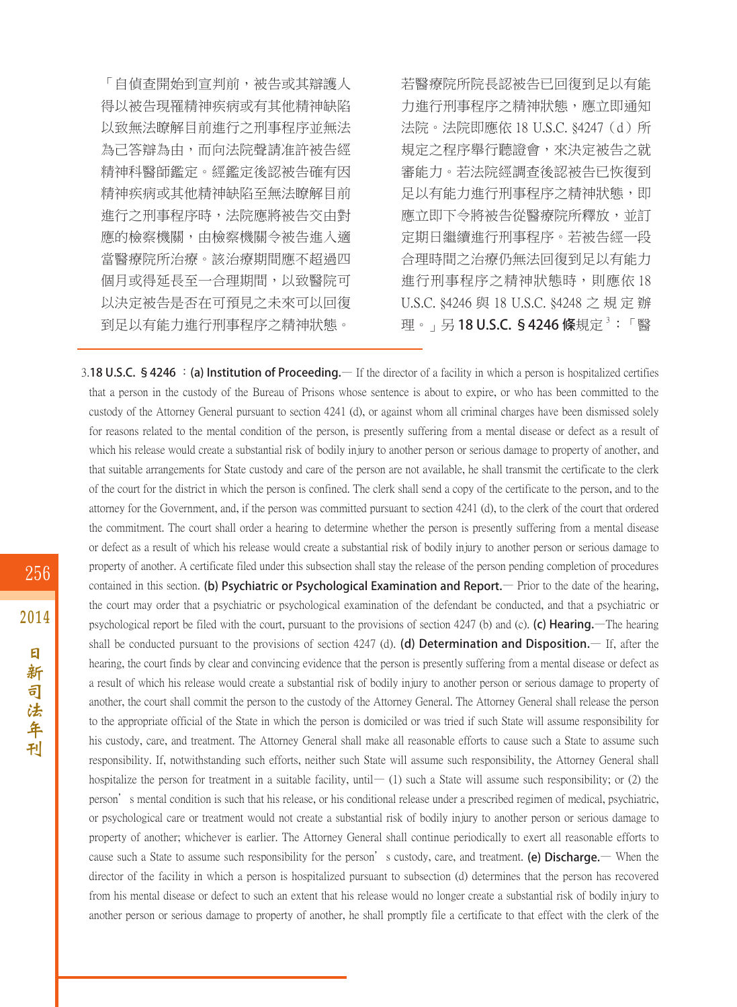「自偵查開始到宣判前,被告或其辯護人 得以被告現罹精神疾病或有其他精神缺陷 以致無法瞭解目前進行之刑事程序並無法 為己答辯為由,而向法院聲請准許被告經 精神科醫師鑑定。經鑑定後認被告確有因 精神疾病或其他精神缺陷至無法瞭解目前 進行之刑事程序時,法院應將被告交由對 應的檢察機關,由檢察機關令被告進入適 當醫療院所治療。該治療期間應不超過四 個月或得延長至一合理期間,以致醫院可 以決定被告是否在可預見之未來可以回復 到足以有能力進行刑事程序之精神狀態。

若醫療院所院長認被告已回復到足以有能 力進行刑事程序之精神狀態,應立即通知 法院。法院即應依 18 U.S.C. §4247 (d) 所 規定之程序舉行聽證會,來決定被告之就 審能力。若法院經調查後認被告已恢復到 足以有能力進行刑事程序之精神狀態,即 應立即下令將被告從醫療院所釋放,並訂 定期日繼續進行刑事程序。若被告經一段 合理時間之治療仍無法回復到足以有能力 進行刑事程序之精神狀態時,則應依 18 U.S.C. §4246 與 18 U.S.C. §4248 之 規 定 辦 理。」另 **18 U.S.C. §4246 條**規定 3 :「醫

3.**18 U.S.C. §4246** :**(a) Institution of Proceeding.**— If the director of a facility in which a person is hospitalized certifies that a person in the custody of the Bureau of Prisons whose sentence is about to expire, or who has been committed to the custody of the Attorney General pursuant to section 4241 (d), or against whom all criminal charges have been dismissed solely for reasons related to the mental condition of the person, is presently suffering from a mental disease or defect as a result of which his release would create a substantial risk of bodily injury to another person or serious damage to property of another, and that suitable arrangements for State custody and care of the person are not available, he shall transmit the certificate to the clerk of the court for the district in which the person is confined. The clerk shall send a copy of the certificate to the person, and to the attorney for the Government, and, if the person was committed pursuant to section 4241 (d), to the clerk of the court that ordered the commitment. The court shall order a hearing to determine whether the person is presently suffering from a mental disease or defect as a result of which his release would create a substantial risk of bodily injury to another person or serious damage to property of another. A certificate filed under this subsection shall stay the release of the person pending completion of procedures contained in this section. **(b) Psychiatric or Psychological Examination and Report.**— Prior to the date of the hearing, the court may order that a psychiatric or psychological examination of the defendant be conducted, and that a psychiatric or psychological report be filed with the court, pursuant to the provisions of section 4247 (b) and (c). **(c) Hearing.**—The hearing shall be conducted pursuant to the provisions of section 4247 (d). **(d) Determination and Disposition.**— If, after the hearing, the court finds by clear and convincing evidence that the person is presently suffering from a mental disease or defect as a result of which his release would create a substantial risk of bodily injury to another person or serious damage to property of another, the court shall commit the person to the custody of the Attorney General. The Attorney General shall release the person to the appropriate official of the State in which the person is domiciled or was tried if such State will assume responsibility for his custody, care, and treatment. The Attorney General shall make all reasonable efforts to cause such a State to assume such responsibility. If, notwithstanding such efforts, neither such State will assume such responsibility, the Attorney General shall hospitalize the person for treatment in a suitable facility, until— (1) such a State will assume such responsibility; or (2) the person's mental condition is such that his release, or his conditional release under a prescribed regimen of medical, psychiatric, or psychological care or treatment would not create a substantial risk of bodily injury to another person or serious damage to property of another; whichever is earlier. The Attorney General shall continue periodically to exert all reasonable efforts to cause such a State to assume such responsibility for the person's custody, care, and treatment. **(e) Discharge.**— When the director of the facility in which a person is hospitalized pursuant to subsection (d) determines that the person has recovered from his mental disease or defect to such an extent that his release would no longer create a substantial risk of bodily injury to another person or serious damage to property of another, he shall promptly file a certificate to that effect with the clerk of the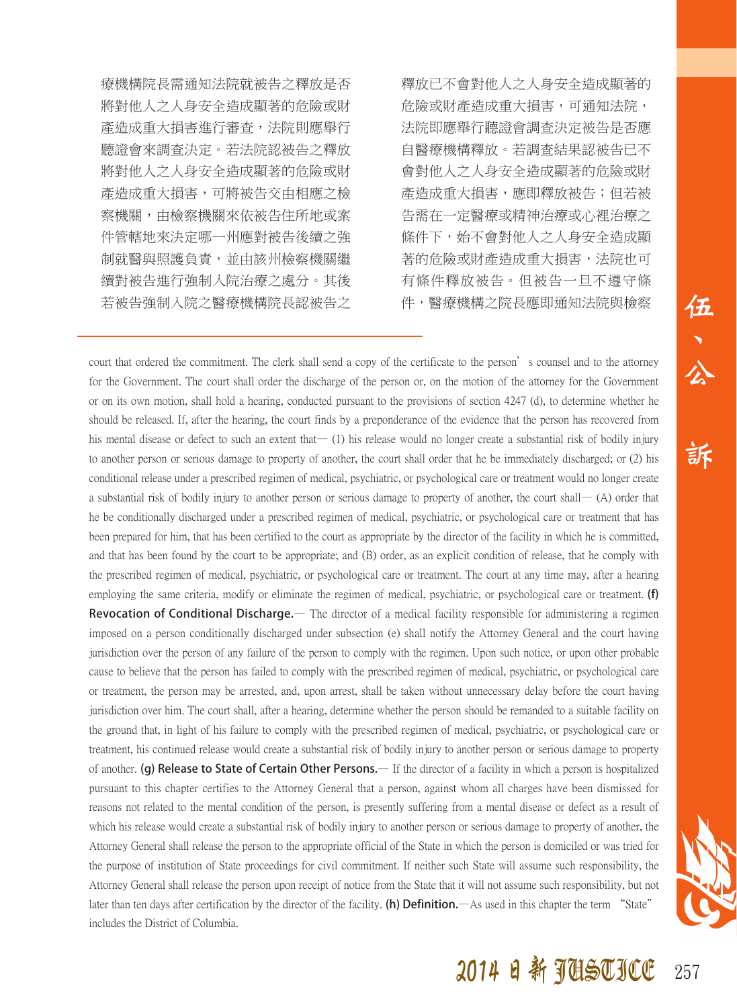療機構院長需通知法院就被告之釋放是否 將對他人之人身安全造成顯著的危險或財 產造成重大損害進行審查,法院則應舉行 聽證會來調查決定。若法院認被告之釋放 將對他人之人身安全造成顯著的危險或財 產造成重大損害,可將被告交由相應之檢 察機關,由檢察機關來依被告住所地或案 件管轄地來決定哪一州應對被告後續之強 制就醫與照護負責,並由該州檢察機關繼 續對被告進行強制入院治療之處分。其後 若被告強制入院之醫療機構院長認被告之

釋放已不會對他人之人身安全造成顯著的 危險或財產造成重大損害,可通知法院, 法院即應舉行聽證會調查決定被告是否應 自醫療機構釋放。若調查結果認被告已不 會對他人之人身安全造成顯著的危險或財 產造成重大損害,應即釋放被告;但若被 告需在一定醫療或精神治療或心裡治療之 條件下,始不會對他人之人身安全造成顯 著的危險或財產造成重大損害,法院也可 有條件釋放被告。但被告一旦不遵守條 件,醫療機構之院長應即通知法院與檢察

court that ordered the commitment. The clerk shall send a copy of the certificate to the person's counsel and to the attorney for the Government. The court shall order the discharge of the person or, on the motion of the attorney for the Government or on its own motion, shall hold a hearing, conducted pursuant to the provisions of section 4247 (d), to determine whether he should be released. If, after the hearing, the court finds by a preponderance of the evidence that the person has recovered from his mental disease or defect to such an extent that  $-$  (1) his release would no longer create a substantial risk of bodily injury to another person or serious damage to property of another, the court shall order that he be immediately discharged; or (2) his conditional release under a prescribed regimen of medical, psychiatric, or psychological care or treatment would no longer create a substantial risk of bodily injury to another person or serious damage to property of another, the court shall— (A) order that he be conditionally discharged under a prescribed regimen of medical, psychiatric, or psychological care or treatment that has been prepared for him, that has been certified to the court as appropriate by the director of the facility in which he is committed, and that has been found by the court to be appropriate; and (B) order, as an explicit condition of release, that he comply with the prescribed regimen of medical, psychiatric, or psychological care or treatment. The court at any time may, after a hearing employing the same criteria, modify or eliminate the regimen of medical, psychiatric, or psychological care or treatment. **(f) Revocation of Conditional Discharge.**— The director of a medical facility responsible for administering a regimen imposed on a person conditionally discharged under subsection (e) shall notify the Attorney General and the court having jurisdiction over the person of any failure of the person to comply with the regimen. Upon such notice, or upon other probable cause to believe that the person has failed to comply with the prescribed regimen of medical, psychiatric, or psychological care or treatment, the person may be arrested, and, upon arrest, shall be taken without unnecessary delay before the court having jurisdiction over him. The court shall, after a hearing, determine whether the person should be remanded to a suitable facility on the ground that, in light of his failure to comply with the prescribed regimen of medical, psychiatric, or psychological care or treatment, his continued release would create a substantial risk of bodily injury to another person or serious damage to property of another. **(g) Release to State of Certain Other Persons.**— If the director of a facility in which a person is hospitalized pursuant to this chapter certifies to the Attorney General that a person, against whom all charges have been dismissed for reasons not related to the mental condition of the person, is presently suffering from a mental disease or defect as a result of which his release would create a substantial risk of bodily injury to another person or serious damage to property of another, the Attorney General shall release the person to the appropriate official of the State in which the person is domiciled or was tried for the purpose of institution of State proceedings for civil commitment. If neither such State will assume such responsibility, the Attorney General shall release the person upon receipt of notice from the State that it will not assume such responsibility, but not later than ten days after certification by the director of the facility. **(h) Definition.**—As used in this chapter the term "State" includes the District of Columbia.



伍

訴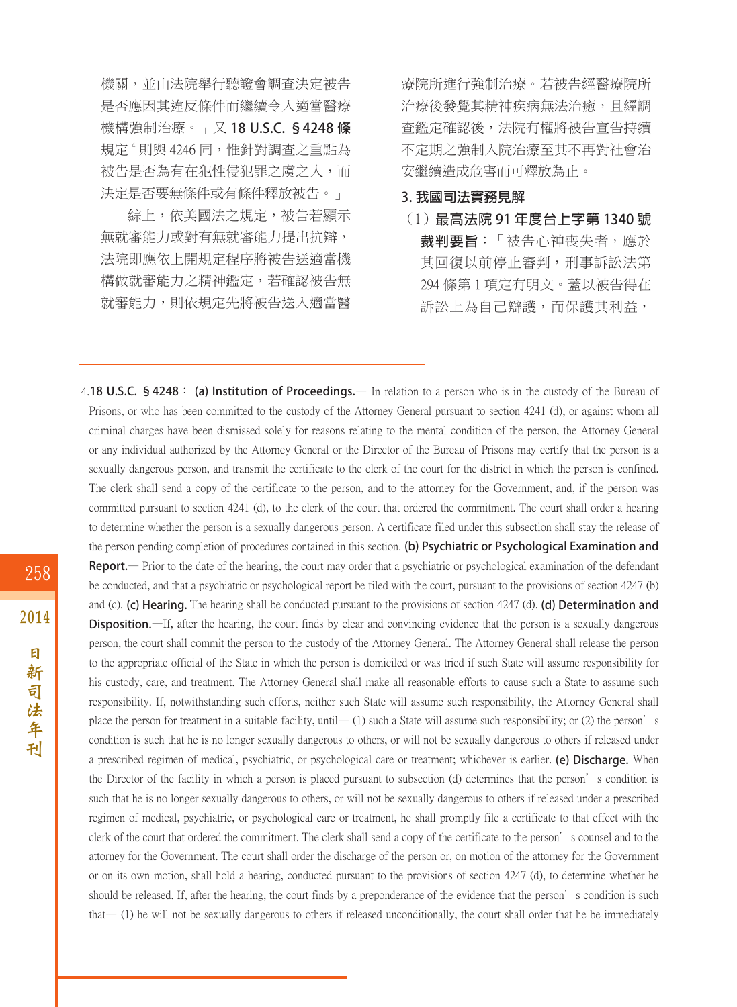機關,並由法院舉行聽證會調查決定被告 是否應因其違反條件而繼續令入適當醫療 機構強制治療。」又 **18 U.S.C. §4248 條** 規定 4 則與 4246 同,惟針對調查之重點為 被告是否為有在犯性侵犯罪之虞之人,而 決定是否要無條件或有條件釋放被告。」

綜上,依美國法之規定,被告若顯示 無就審能力或對有無就審能力提出抗辯, 法院即應依上開規定程序將被告送適當機 構做就審能力之精神鑑定,若確認被告無 就審能力,則依規定先將被告送入適當醫 療院所進行強制治療。若被告經醫療院所 治療後發覺其精神疾病無法治癒,且經調 查鑑定確認後,法院有權將被告宣告持續 不定期之強制入院治療至其不再對社會治 安繼續造成危害而可釋放為止。

**3. 我國司法實務見解**

(1)**最高法院 91 年度台上字第 1340 號 裁判要旨**:「被告心神喪失者,應於 其回復以前停止審判,刑事訴訟法第 294 條第 1 項定有明文。蓋以被告得在 訴訟上為自己辯護,而保護其利益,

4.**18 U.S.C. §4248**: **(a) Institution of Proceedings.**— In relation to a person who is in the custody of the Bureau of Prisons, or who has been committed to the custody of the Attorney General pursuant to section 4241 (d), or against whom all criminal charges have been dismissed solely for reasons relating to the mental condition of the person, the Attorney General or any individual authorized by the Attorney General or the Director of the Bureau of Prisons may certify that the person is a sexually dangerous person, and transmit the certificate to the clerk of the court for the district in which the person is confined. The clerk shall send a copy of the certificate to the person, and to the attorney for the Government, and, if the person was committed pursuant to section 4241 (d), to the clerk of the court that ordered the commitment. The court shall order a hearing to determine whether the person is a sexually dangerous person. A certificate filed under this subsection shall stay the release of the person pending completion of procedures contained in this section. **(b) Psychiatric or Psychological Examination and Report.**— Prior to the date of the hearing, the court may order that a psychiatric or psychological examination of the defendant be conducted, and that a psychiatric or psychological report be filed with the court, pursuant to the provisions of section 4247 (b) and (c). **(c) Hearing.** The hearing shall be conducted pursuant to the provisions of section 4247 (d). **(d) Determination and Disposition.**—If, after the hearing, the court finds by clear and convincing evidence that the person is a sexually dangerous person, the court shall commit the person to the custody of the Attorney General. The Attorney General shall release the person to the appropriate official of the State in which the person is domiciled or was tried if such State will assume responsibility for his custody, care, and treatment. The Attorney General shall make all reasonable efforts to cause such a State to assume such responsibility. If, notwithstanding such efforts, neither such State will assume such responsibility, the Attorney General shall place the person for treatment in a suitable facility, until— (1) such a State will assume such responsibility; or (2) the person's condition is such that he is no longer sexually dangerous to others, or will not be sexually dangerous to others if released under a prescribed regimen of medical, psychiatric, or psychological care or treatment; whichever is earlier. **(e) Discharge.** When the Director of the facility in which a person is placed pursuant to subsection (d) determines that the person's condition is such that he is no longer sexually dangerous to others, or will not be sexually dangerous to others if released under a prescribed regimen of medical, psychiatric, or psychological care or treatment, he shall promptly file a certificate to that effect with the clerk of the court that ordered the commitment. The clerk shall send a copy of the certificate to the person's counsel and to the attorney for the Government. The court shall order the discharge of the person or, on motion of the attorney for the Government or on its own motion, shall hold a hearing, conducted pursuant to the provisions of section 4247 (d), to determine whether he should be released. If, after the hearing, the court finds by a preponderance of the evidence that the person's condition is such that— (1) he will not be sexually dangerous to others if released unconditionally, the court shall order that he be immediately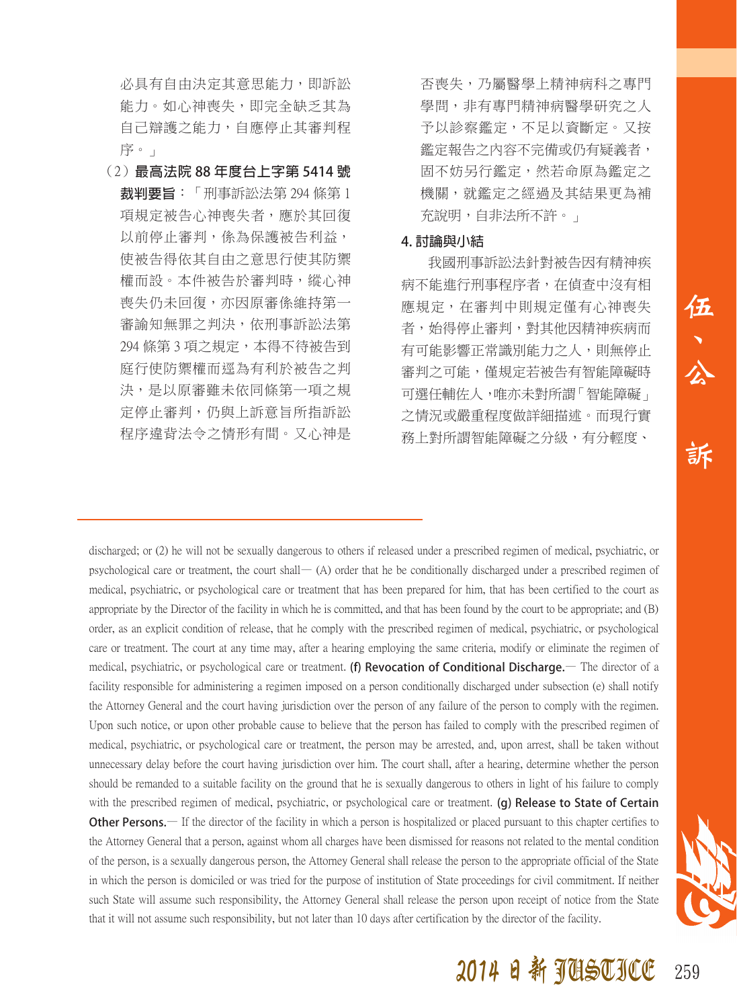必具有自由決定其意思能力,即訴訟 能力。如心神喪失,即完全缺乏其為 自己辯護之能力,自應停止其審判程 序。」

(2)**最高法院 88 年度台上字第 5414 號 裁判要旨**:「刑事訴訟法第 294 條第 1 項規定被告心神喪失者,應於其回復 以前停止審判, 係為保護被告利益, 使被告得依其自由之意思行使其防禦 權而設。本件被告於審判時,縱心神 喪失仍未回復,亦因原審係維持第一 審諭知無罪之判決,依刑事訴訟法第 294 條第3項之規定,本得不待被告到 庭行使防禦權而逕為有利於被告之判 決,是以原審雖未依同條第一項之規 定停止審判,仍與上訴意旨所指訴訟 程序違背法令之情形有間。又心神是 否喪失,乃屬醫學上精神病科之專門 學問,非有專門精神病醫學研究之人 予以診察鑑定,不足以資斷定。又按 鑑定報告之內容不完備或仍有疑義者, 固不妨另行鑑定,然若命原為鑑定之 機關,就鑑定之經過及其結果更為補 充說明,自非法所不許。」

#### **4. 討論與小結**

我國刑事訴訟法針對被告因有精神疾 病不能進行刑事程序者,在偵查中沒有相 應規定,在審判中則規定僅有心神喪失 者,始得停止審判,對其他因精神疾病而 有可能影響正常識別能力之人,則無停止 審判之可能,僅規定若被告有智能障礙時 可選任輔佐人,唯亦未對所謂「智能障礙」 之情況或嚴重程度做詳細描述。而現行實 務上對所謂智能障礙之分級,有分輕度、

discharged; or (2) he will not be sexually dangerous to others if released under a prescribed regimen of medical, psychiatric, or psychological care or treatment, the court shall— (A) order that he be conditionally discharged under a prescribed regimen of medical, psychiatric, or psychological care or treatment that has been prepared for him, that has been certified to the court as appropriate by the Director of the facility in which he is committed, and that has been found by the court to be appropriate; and (B) order, as an explicit condition of release, that he comply with the prescribed regimen of medical, psychiatric, or psychological care or treatment. The court at any time may, after a hearing employing the same criteria, modify or eliminate the regimen of medical, psychiatric, or psychological care or treatment. **(f) Revocation of Conditional Discharge.**— The director of a facility responsible for administering a regimen imposed on a person conditionally discharged under subsection (e) shall notify the Attorney General and the court having jurisdiction over the person of any failure of the person to comply with the regimen. Upon such notice, or upon other probable cause to believe that the person has failed to comply with the prescribed regimen of medical, psychiatric, or psychological care or treatment, the person may be arrested, and, upon arrest, shall be taken without unnecessary delay before the court having jurisdiction over him. The court shall, after a hearing, determine whether the person should be remanded to a suitable facility on the ground that he is sexually dangerous to others in light of his failure to comply with the prescribed regimen of medical, psychiatric, or psychological care or treatment. **(g) Release to State of Certain Other Persons.**— If the director of the facility in which a person is hospitalized or placed pursuant to this chapter certifies to the Attorney General that a person, against whom all charges have been dismissed for reasons not related to the mental condition of the person, is a sexually dangerous person, the Attorney General shall release the person to the appropriate official of the State in which the person is domiciled or was tried for the purpose of institution of State proceedings for civil commitment. If neither such State will assume such responsibility, the Attorney General shall release the person upon receipt of notice from the State that it will not assume such responsibility, but not later than 10 days after certification by the director of the facility.



伍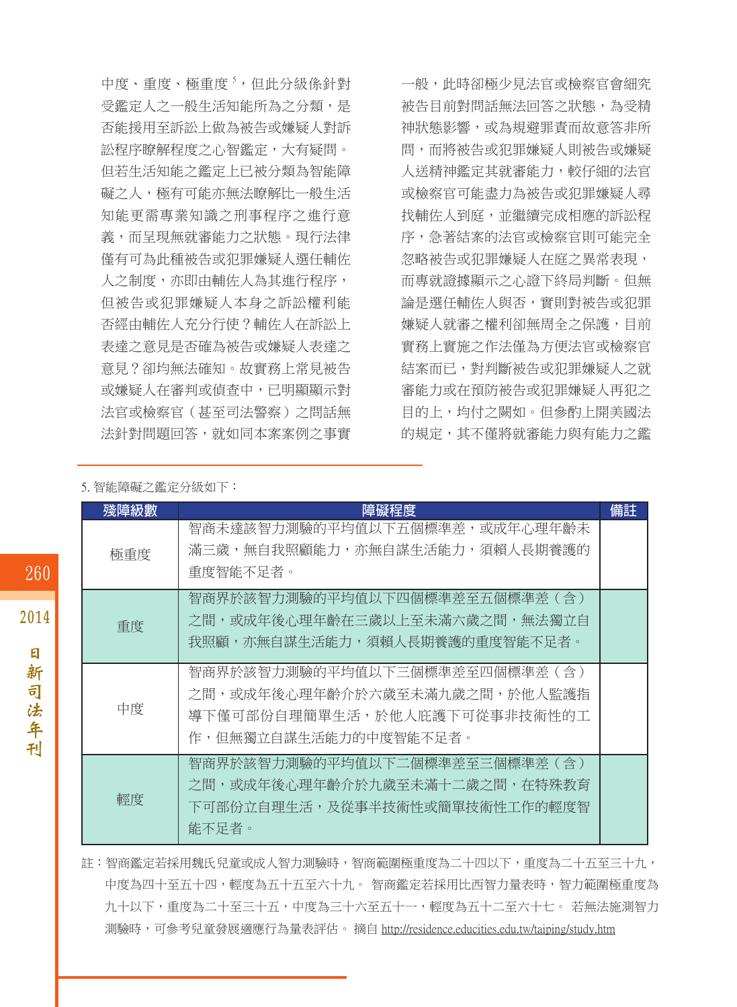中度、重度、極重度<sup>5</sup>,但此分級係針對 **受鑑定人之一般生活知能所為之分類,是** 否能援用至訴訟上做為被告或嫌疑人對訴 訟程序瞭解程度之心智鑑定,大有疑問。 但若生活知能之鑑定上已被分類為智能障 礙之人,極有可能亦無法瞭解比一般生活 知能更需專業知識之刑事程序之進行意 義,而呈現無就審能力之狀態。現行法律 僅有可為此種被告或犯罪嫌疑人選任輔佐 人之制度,亦即由輔佐人為其進行程序, 但被告或犯罪嫌疑人本身之訴訟權利能 否經由輔佐人充分行使?輔佐人在訴訟上 表達之意見是否確為被告或嫌疑人表達之 意見?卻均無法確知。故實務上常見被告 或嫌疑人在審判或偵查中,已明顯顯示對 法官或檢察官(甚至司法警察)之問話無 法針對問題回答,就如同本案案例之事實

一般,此時卻極少見法官或檢察官會細究 被告目前對問話無法回答之狀態,為受精 神狀態影響,或為規避罪責而故意答非所 問,而將被告或犯罪嫌疑人則被告或嫌疑 人送精神鑑定其就審能力,較仔細的法官 或檢察官可能盡力為被告或犯罪嫌疑人尋 找輔佐人到庭,並繼續完成相應的訴訟程 序,急著結案的法官或檢察官則可能完全 忽略被告或犯罪嫌疑人在庭之異常表現, 而專就證據顯示之心證下終局判斷。但無 論是選任輔佐人與否,實則對被告或犯罪 嫌疑人就審之權利卻無周全之保護,目前 實務上實施之作法僅為方便法官或檢察官 結案而已,對判斷被告或犯罪嫌疑人之就 審能力或在預防被告或犯罪嫌疑人再犯之 目的上,均付之闕如。但參酌上開美國法 的規定,其不僅將就審能力與有能力之鑑

5. 智能障礙之鑑定分級如下:

| 殘障級數 | 障礙程度                          | 備註 |
|------|-------------------------------|----|
| 極重度  | 智商未達該智力測驗的平均值以下五個標準差,或成年心理年齡未 |    |
|      | 滿三歲,無自我照顧能力,亦無自謀生活能力,須賴人長期養護的 |    |
|      | 重度智能不足者。                      |    |
| 重度   | 智商界於該智力測驗的平均值以下四個標準差至五個標準差(含) |    |
|      | 之間,或成年後心理年齡在三歲以上至未滿六歲之間,無法獨立自 |    |
|      | 我照顧,亦無自謀牛活能力,須賴人長期養護的重度智能不足者。 |    |
| 中度   | 智商界於該智力測驗的平均值以下三個標準差至四個標準差(含) |    |
|      | 之間,或成年後心理年齡介於六歳至未滿九歳之間,於他人監護指 |    |
|      | 導下僅可部份自理簡單生活,於他人庇護下可從事非技術性的工  |    |
|      | 作,但無獨立自謀生活能力的中度智能不足者。         |    |
| 輕度   | 智商界於該智力測驗的平均值以下二個標準差至三個標準差(含) |    |
|      | 之間,或成年後心理年齡介於九歳至未滿十二歳之間,在特殊教育 |    |
|      | 下可部份立自理生活,及從事半技術性或簡單技術性工作的輕度智 |    |
|      | 能不足者。                         |    |

註:智商鑑定若採用魏氏兒童或成人智力測驗時,智商範圍極重度為二十四以下,重度為二十五至三十九, 中度為四十至五十四,輕度為五十五至六十九。 智商鑑定若採用比西智力量表時,智力範圍極重度為 九十以下,重度為二十至三十五,中度為三十六至五十一,輕度為五十二至六十七。 若無法施測智力 測驗時,可參考兒童發展適應行為量表評估。 摘自 http://residence.educities.edu.tw/taiping/study.htm

2014日新司法年刊

260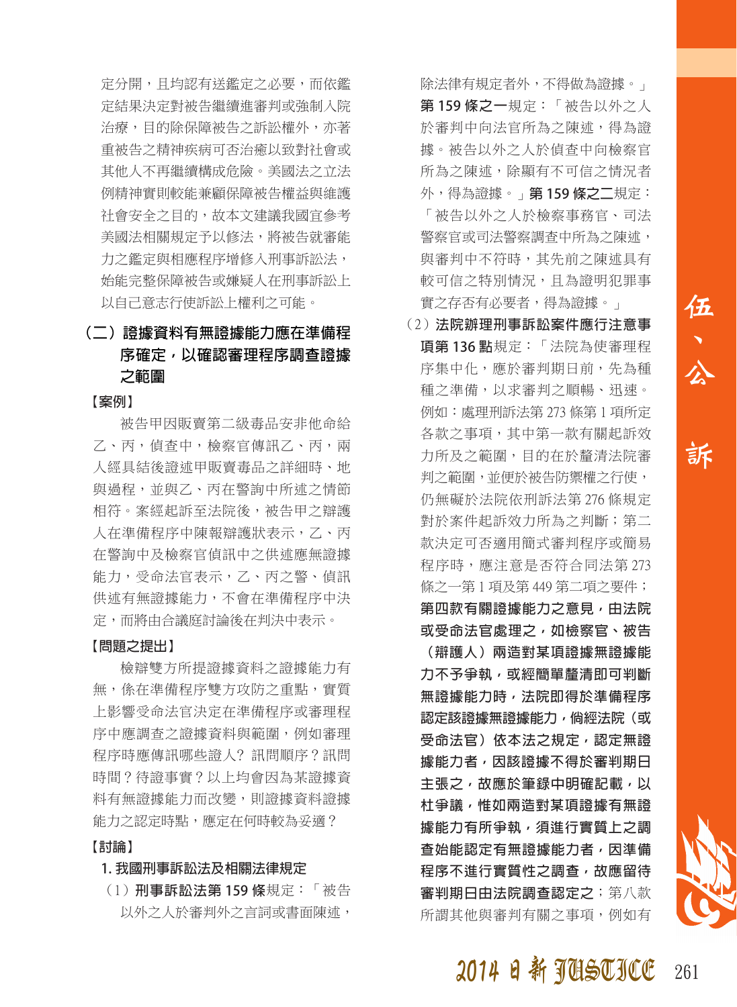定分開,且均認有送鑑定之必要,而依鑑 定結果決定對被告繼續進審判或強制入院 治療,目的除保障被告之訴訟權外,亦著 重被告之精神疾病可否治癒以致對社會或 其他人不再繼續構成危險。美國法之立法 例精神實則較能兼顧保障被告權益與維護 社會安全之目的,故本文建議我國宜參考 美國法相關規定予以修法,將被告就審能 力之鑑定與相應程序增修入刑事訴訟法, 始能完整保障被告或嫌疑人在刑事訴訟上 以自己意志行使訴訟上權利之可能。

### **(二)證據資料有無證據能力應在準備程 序確定,以確認審理程序調查證據 之範圍**

**【案例】**

被告甲因販賣第二級毒品安非他命給 乙、丙,偵查中,檢察官傳訊乙、丙,兩 人經具結後證述甲販賣毒品之詳細時、地 與過程,並與乙、丙在警詢中所述之情節 相符。案經起訴至法院後,被告甲之辯護 人在準備程序中陳報辯護狀表示,乙、丙 在警詢中及檢察官偵訊中之供述應無證據 能力,受命法官表示,乙、丙之警、偵訊 供述有無證據能力,不會在準備程序中決 定,而將由合議庭討論後在判決中表示。

### **【問題之提出】**

檢辯雙方所提證據資料之證據能力有 無,係在準備程序雙方攻防之重點,實質 上影響受命法官決定在準備程序或審理程 序中應調查之證據資料與範圍,例如審理 程序時應傳訊哪些證人? 訊問順序?訊問 時間?待證事實?以上均會因為某證據資 料有無證據能力而改變,則證據資料證據 能力之認定時點,應定在何時較為妥適?

### **【討論】**

### **1. 我國刑事訴訟法及相關法律規定**

(1)**刑事訴訟法第 159 條**規定:「被告 以外之人於審判外之言詞或書面陳述,

除法律有規定者外,不得做為證據。」 **第 159 條之一**規定:「被告以外之人 於審判中向法官所為之陳述,得為證 據。被告以外之人於偵查中向檢察官 所為之陳述,除顯有不可信之情況者 外,得為證據。」**第 159 條之二**規定: 「被告以外之人於檢察事務官、司法 警察官或司法警察調查中所為之陳述, 與審判中不符時,其先前之陳述具有 較可信之特別情況,且為證明犯罪事 實之存否有必要者,得為證據。」

(2)**法院辦理刑事訴訟案件應行注意事 項第 136 點**規定:「法院為使審理程 序集中化,應於審判期日前,先為種 種之準備,以求審判之順暢、迅速。 例如:處理刑訴法第 273 條第 1 項所定 各款之事項,其中第一款有關起訴效 力所及之範圍,目的在於釐清法院審 判之範圍,並便於被告防禦權之行使, 仍無礙於法院依刑訴法第 276 條規定 對於案件起訴效力所為之判斷;第二 款決定可否適用簡式審判程序或簡易 程序時,應注意是否符合同法第 273 條之一第 1 項及第 449 第二項之要件; **第四款有關證據能力之意見,由法院 或受命法官處理之,如檢察官、被告**

**(辯護人)兩造對某項證據無證據能** 力不予爭執,或經簡單釐清即可判斷 **無證據能力時,法院即得於準備程序 認定該證據無證據能力,倘經法院(或** 受命法官)依本法之規定,認定無證 **據能力者,因該證據不得於審判期日** 主張之,故應於筆錄中明確記載,以 **杜爭議,惟如兩造對某項證據有無證 據能力有所爭執,須進行實質上之調 查始能認定有無證據能力者,因準備 程序不進行實質性之調查,故應留待 審判期日由法院調查認定之**;第八款 所謂其他與審判有關之事項,例如有



伍

訴

# 2014 日新 JUSTJUE 261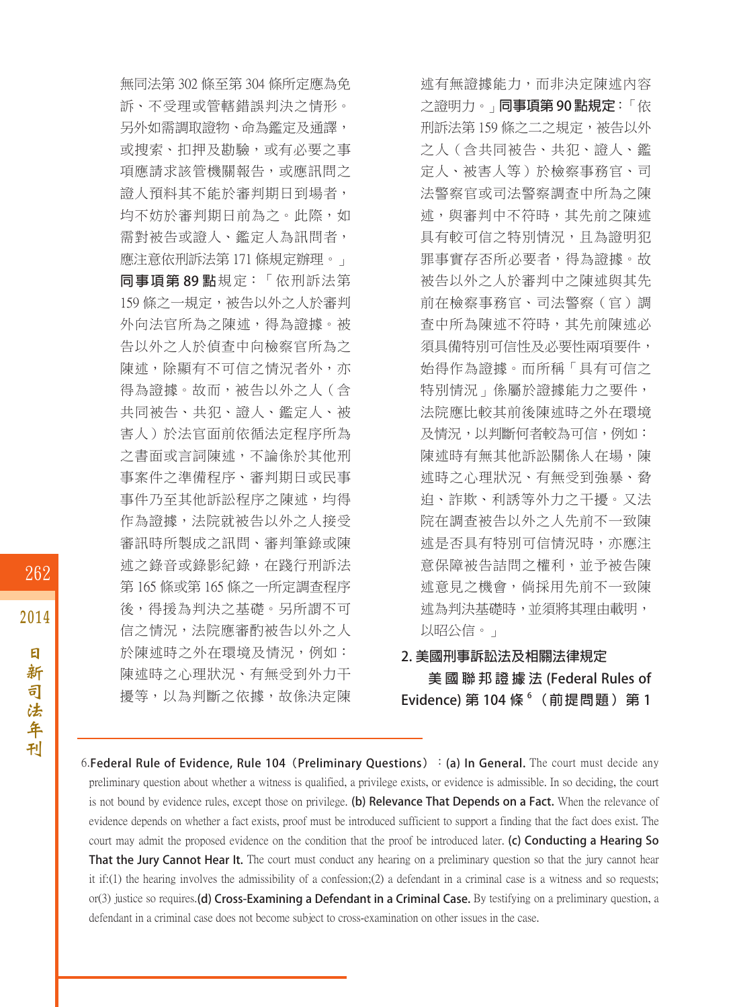無同法第 302 條至第 304 條所定應為免 訴、不受理或管轄錯誤判決之情形。 另外如需調取證物、命為鑑定及通譯, 或搜索、扣押及勘驗,或有必要之事 項應請求該管機關報告,或應訊問之 證人預料其不能於審判期日到場者, 均不妨於審判期日前為之。此際,如 需對被告或證人、鑑定人為訊問者, 應注意依刑訴法第 171 條規定辦理。」 **同 事 項 第 89 點**規定:「依刑訴法第 159 條之一規定,被告以外之人於審判 外向法官所為之陳述,得為證據。被 告以外之人於偵查中向檢察官所為之 陳述,除顯有不可信之情況者外,亦 得為證據。故而,被告以外之人(含 共同被告、共犯、證人、鑑定人、被 害人)於法官面前依循法定程序所為 之書面或言詞陳述,不論係於其他刑 事案件之準備程序、審判期日或民事 事件乃至其他訴訟程序之陳述,均得 作為證據,法院就被告以外之人接受 審訊時所製成之訊問、審判筆錄或陳 述之錄音或錄影紀錄,在踐行刑訴法 第 165 條或第 165 條之一所定調查程序 後,得援為判決之基礎。另所謂不可 信之情況,法院應審酌被告以外之人 於陳述時之外在環境及情況,例如: 陳述時之心理狀況、有無受到外力干 擾等,以為判斷之依據,故係決定陳

述有無證據能力,而非決定陳述內容 之證明力。」**同事項第 90 點規定**:「依 刑訴法第 159 條之二之規定,被告以外 之人(含共同被告、共犯、證人、鑑 定人、被害人等)於檢察事務官、司 法警察官或司法警察調查中所為之陳 述,與審判中不符時,其先前之陳述 具有較可信之特別情況,且為證明犯 罪事實存否所必要者,得為證據。故 被告以外之人於審判中之陳述與其先 前在檢察事務官、司法警察(官)調 查中所為陳述不符時,其先前陳述必 須具備特別可信性及必要性兩項要件, 始得作為證據。而所稱「具有可信之 特別情況」係屬於證據能力之要件, 法院應比較其前後陳述時之外在環境 及情況,以判斷何者較為可信,例如: 陳述時有無其他訴訟關係人在場,陳 述時之心理狀況、有無受到強暴、脅 迫、詐欺、利誘等外力之干擾。又法 院在調查被告以外之人先前不一致陳 述是否具有特別可信情況時,亦應注 意保障被告詰問之權利,並予被告陳 述意見之機會,倘採用先前不一致陳 述為判決基礎時,並須將其理由載明, 以昭公信。」

### **2. 美國刑事訴訟法及相關法律規定 美 國 聯 邦 證 據 法 (Federal Rules of**

**Evidence) 第 104 條 <sup>6</sup> (前提問題)第 1**

6.**Federal Rule of Evidence, Rule 104(Preliminary Questions)**:**(a) In General.** The court must decide any preliminary question about whether a witness is qualified, a privilege exists, or evidence is admissible. In so deciding, the court is not bound by evidence rules, except those on privilege. **(b) Relevance That Depends on a Fact.** When the relevance of evidence depends on whether a fact exists, proof must be introduced sufficient to support a finding that the fact does exist. The court may admit the proposed evidence on the condition that the proof be introduced later. **(c) Conducting a Hearing So That the Jury Cannot Hear It.** The court must conduct any hearing on a preliminary question so that the jury cannot hear it if:(1) the hearing involves the admissibility of a confession;(2) a defendant in a criminal case is a witness and so requests; or(3) justice so requires.**(d) Cross-Examining a Defendant in a Criminal Case.** By testifying on a preliminary question, a defendant in a criminal case does not become subject to cross-examination on other issues in the case.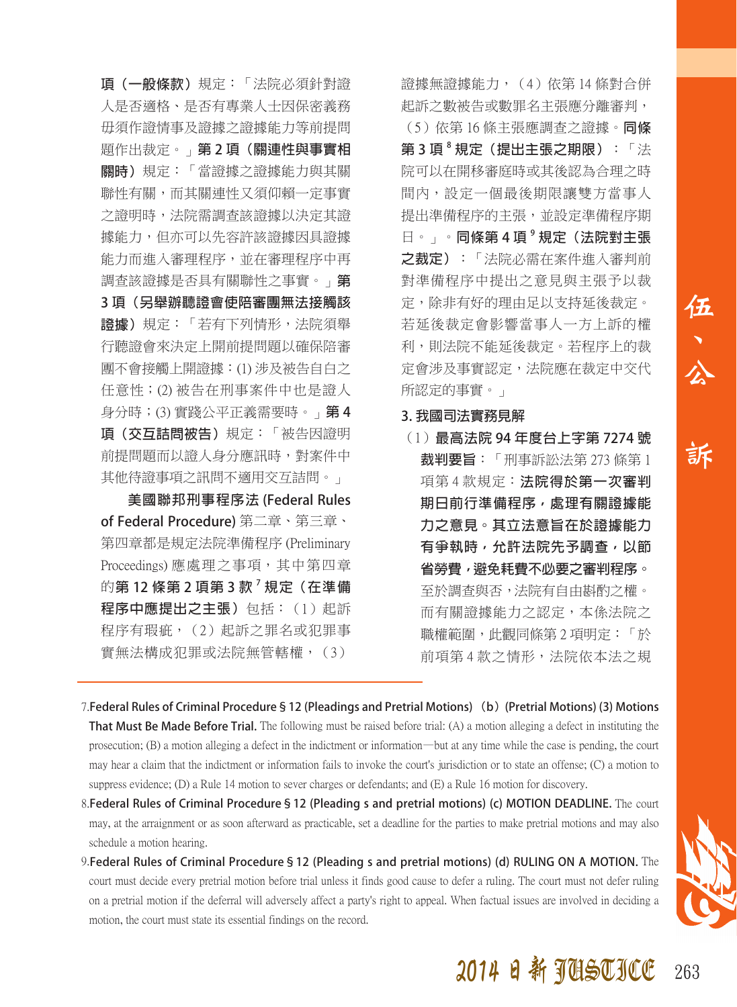**項(一般條款)**規定:「法院必須針對證 人是否適格、是否有專業人士因保密義務 毋須作證情事及證據之證據能力等前提問 題作出裁定。」**第 2 項(關連性與事實相 關時)**規定:「當證據之證據能力與其關 聯性有關,而其關連性又須仰賴一定事實 之證明時,法院需調查該證據以決定其證 據能力,但亦可以先容許該證據因具證據 能力而進入審理程序,並在審理程序中再 調查該證據是否具有關聯性之事實。」**第 3 項(另舉辦聽證會使陪審團無法接觸該 證據)**規定:「若有下列情形,法院須舉 行聽證會來決定上開前提問題以確保陪審 團不會接觸上開證據:(1) 涉及被告自白之 任意性;(2) 被告在刑事案件中也是證人 身分時;(3) 實踐公平正義需要時。」**第 4 項(交互詰問被告)**規定:「被告因證明 前提問題而以證人身分應訊時,對案件中 其他待證事項之訊問不適用交互詰問。」

**美國聯邦刑事程序法 (Federal Rules of Federal Procedure)** 第二章、第三章、 第四章都是規定法院準備程序 (Preliminary Proceedings) 應處理之事項,其中第四章 的**第 12 條第 2 項第 3 款 <sup>7</sup> 規定(在準備 程序中應提出之主張)**包括:(1)起訴 程序有瑕疵,(2)起訴之罪名或犯罪事 實無法構成犯罪或法院無管轄權,(3)

證據無證據能力,(4)依第 14 條對合併 起訴之數被告或數罪名主張應分離審判, (5)依第 16 條主張應調查之證據。**同條 第3項 <sup>8</sup> 規定(提出主張之期限)**:「法 院可以在開移審庭時或其後認為合理之時 間內,設定一個最後期限讓雙方當事人 提出準備程序的主張,並設定準備程序期 日。」。**同條第 4 項 <sup>9</sup> 規定(法院對主張 之裁定)**:「法院必需在案件進入審判前 對準備程序中提出之意見與主張予以裁 定,除非有好的理由足以支持延後裁定。 若延後裁定會影響當事人一方上訴的權 利,則法院不能延後裁定。若程序上的裁 定會涉及事實認定,法院應在裁定中交代 所認定的事實。」

### **3. 我國司法實務見解**

- (1)**最高法院 94 年度台上字第 7274 號 裁判要旨**:「刑事訴訟法第 273 條第 1 項第 4 款規定:**法院得於第一次審判 期日前行準備程序,處理有關證據能 力之意見。其立法意旨在於證據能力 有爭執時,允許法院先予調查,以節 省勞費,避免耗費不必要之審判程序。** 至於調查與否,法院有自由斟酌之權。 而有關證據能力之認定,本係法院之 職權範圍,此觀同條第 2 項明定:「於 前項第4款之情形,法院依本法之規
- 7.**Federal Rules of Criminal Procedure§12 (Pleadings and Pretrial Motions) (b)(Pretrial Motions) (3) Motions That Must Be Made Before Trial.** The following must be raised before trial: (A) a motion alleging a defect in instituting the prosecution; (B) a motion alleging a defect in the indictment or information—but at any time while the case is pending, the court may hear a claim that the indictment or information fails to invoke the court's jurisdiction or to state an offense; (C) a motion to suppress evidence; (D) a Rule 14 motion to sever charges or defendants; and (E) a Rule 16 motion for discovery.
- 8.**Federal Rules of Criminal Procedure§12 (Pleading s and pretrial motions) (c) MOTION DEADLINE.** The court may, at the arraignment or as soon afterward as practicable, set a deadline for the parties to make pretrial motions and may also schedule a motion hearing.
- 9.**Federal Rules of Criminal Procedure§12 (Pleading s and pretrial motions) (d) RULING ON A MOTION.** The court must decide every pretrial motion before trial unless it finds good cause to defer a ruling. The court must not defer ruling on a pretrial motion if the deferral will adversely affect a party's right to appeal. When factual issues are involved in deciding a motion, the court must state its essential findings on the record.



伍

訴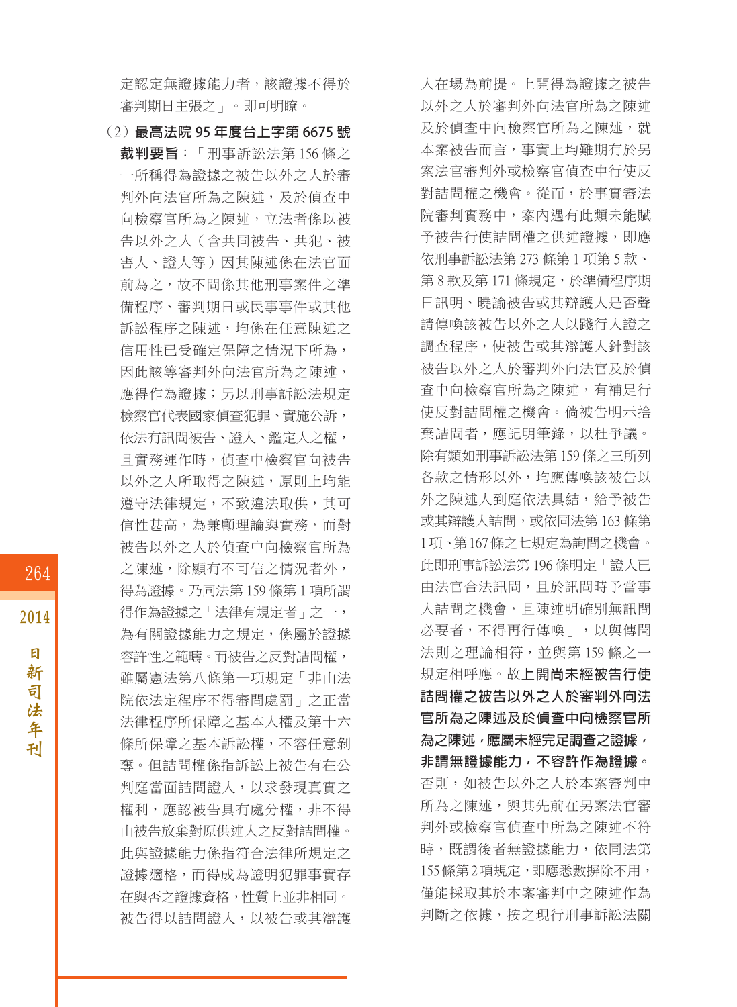定認定無證據能力者,該證據不得於 審判期日主張之」。即可明瞭。

(2)**最高法院 95 年度台上字第 6675 號 裁判要旨**:「刑事訴訟法第 156 條之 一所稱得為證據之被告以外之人於審 判外向法官所為之陳述,及於偵查中 向檢察官所為之陳述,立法者係以被 告以外之人(含共同被告、共犯、被 害人、證人等)因其陳述係在法官面 前為之,故不問係其他刑事案件之準 備程序、審判期日或民事事件或其他 訴訟程序之陳述,均係在任意陳述之 信用性已受確定保障之情況下所為, 因此該等審判外向法官所為之陳述, 應得作為證據;另以刑事訴訟法規定 檢察官代表國家偵查犯罪、實施公訴, 依法有訊問被告、證人、鑑定人之權, 且實務運作時,偵查中檢察官向被告 以外之人所取得之陳述,原則上均能 遵守法律規定,不致違法取供,其可 信性甚高,為兼顧理論與實務,而對 被告以外之人於偵查中向檢察官所為 之陳述,除顯有不可信之情況者外, 得為證據。乃同法第 159 條第 1 項所謂 得作為證據之「法律有規定者」之一, 為有關證據能力之規定,係屬於證據 容許性之範疇。而被告之反對詰問權, 雖屬憲法第八條第一項規定「非由法 院依法定程序不得審問處罰」之正當 法律程序所保障之基本人權及第十六 條所保障之基本訴訟權,不容任意剝 奪。但詰問權係指訴訟上被告有在公 判庭當面詰問證人,以求發現真實之 權利,應認被告具有處分權,非不得 由被告放棄對原供述人之反對詰問權。 此與證據能力係指符合法律所規定之 證據適格,而得成為證明犯罪事實存 在與否之證據資格,性質上並非相同。 被告得以詰問證人,以被告或其辯護

人在場為前提。上開得為證據之被告 以外之人於審判外向法官所為之陳述 及於偵查中向檢察官所為之陳述,就 本案被告而言,事實上均難期有於另 案法官審判外或檢察官偵查中行使反 對詰問權之機會。從而,於事實審法 院審判實務中,案內遇有此類未能賦 予被告行使詰問權之供述證據,即應 依刑事訴訟法第 273 條第 1 項第 5 款、 第 8 款及第 171 條規定,於準備程序期 日訊明、曉諭被告或其辯護人是否聲 請傳喚該被告以外之人以踐行人證之 調查程序,使被告或其辯護人針對該 被告以外之人於審判外向法官及於偵 查中向檢察官所為之陳述,有補足行 使反對詰問權之機會。倘被告明示捨 棄詰問者,應記明筆錄,以杜爭議。 除有類如刑事訴訟法第 159 條之三所列 各款之情形以外,均應傳喚該被告以 外之陳述人到庭依法具結,給予被告 或其辯護人詰問,或依同法第 163 條第 1 項、第 167 條之七規定為詢問之機會。 此即刑事訴訟法第 196 條明定「證人已 由法官合法訊問,且於訊問時予當事 人詰問之機會,且陳述明確別無訊問 必要者,不得再行傳喚」,以與傳聞 法則之理論相符,並與第 159 條之一 規定相呼應。故**上開尚未經被告行使 詰問權之被告以外之人於審判外向法 官所為之陳述及於偵查中向檢察官所 為之陳述,應屬未經完足調查之證據, 非謂無證據能力,不容許作為證據。** 否則,如被告以外之人於本案審判中 所為之陳述,與其先前在另案法官審 判外或檢察官偵查中所為之陳述不符 時,既謂後者無證據能力,依同法第 155條第2項規定,即應悉數摒除不用, 僅能採取其於本案審判中之陳述作為 判斷之依據,按之現行刑事訴訟法關

2014日新司法年刊 264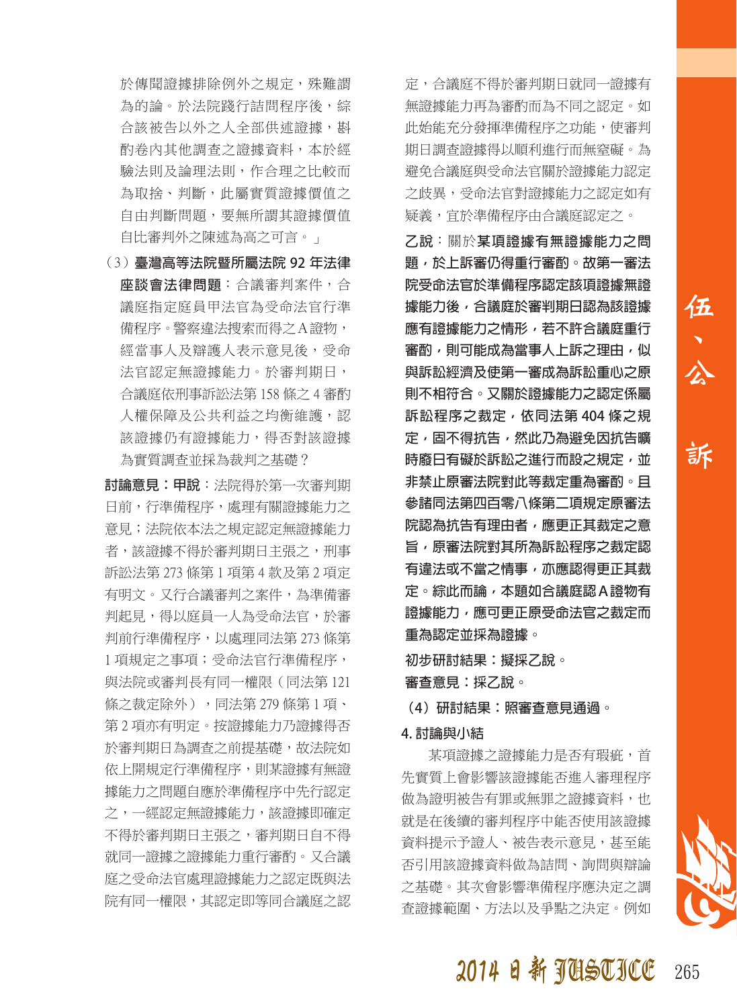於傳聞證據排除例外之規定,殊難謂 為的論。於法院踐行詰問程序後,綜 合該被告以外之人全部供述證據,斟 酌卷內其他調查之證據資料,本於經 驗法則及論理法則,作合理之比較而 為取捨、判斷,此屬實質證據價值之 自由判斷問題,要無所謂其證據價值 自比審判外之陳述為高之可言。」

(3)**臺灣高等法院暨所屬法院 92 年法律 座談會法律問題**:合議審判案件,合 議庭指定庭員甲法官為受命法官行準 備程序。警察違法搜索而得之A證物, 經當事人及辯護人表示意見後,受命 法官認定無證據能力。於審判期日, 合議庭依刑事訴訟法第 158 條之 4 審酌 人權保障及公共利益之均衡維護,認 該證據仍有證據能力,得否對該證據 為實質調查並採為裁判之基礎?

**討論意見:甲說**:法院得於第一次審判期 日前,行準備程序,處理有關證據能力之 意見;法院依本法之規定認定無證據能力 者,該證據不得於審判期日主張之,刑事 訴訟法第 273 條第 1 項第 4 款及第 2 項定 有明文。又行合議審判之案件,為準備審 判起見,得以庭員一人為受命法官,於審 判前行準備程序,以處理同法第 273 條第 1 項規定之事項;受命法官行準備程序, 與法院或審判長有同一權限(同法第 121 條之裁定除外),同法第 279 條第 1 項、 第 2 項亦有明定。按證據能力乃證據得否 於審判期日為調查之前提基礎,故法院如 依上開規定行準備程序,則某證據有無證 據能力之問題自應於準備程序中先行認定 之,一經認定無證據能力,該證據即確定 不得於審判期日主張之,審判期日自不得 就同一證據之證據能力重行審酌。又合議 庭之受命法官處理證據能力之認定既與法 院有同一權限,其認定即等同合議庭之認 定,合議庭不得於審判期日就同一證據有 無證據能力再為審酌而為不同之認定。如 此始能充分發揮準備程序之功能,使審判 期日調查證據得以順利進行而無窒礙。為 避免合議庭與受命法官關於證據能力認定 之歧異,受命法官對證據能力之認定如有 疑義,宜於準備程序由合議庭認定之。

**乙說**:關於**某項證據有無證據能力之問 題,於上訴審仍得重行審酌。故第一審法 院受命法官於準備程序認定該項證據無證 據能力後,合議庭於審判期日認為該證據 應有證據能力之情形,若不許合議庭重行 審酌,則可能成為當事人上訴之理由,似 與訴訟經濟及使第一審成為訴訟重心之原 則不相符合。又關於證據能力之認定係屬 訴訟程序之裁定,依同法第 404 條之規 定,固不得抗告,然此乃為避免因抗告曠 時廢日有礙於訴訟之進行而設之規定,並 非禁止原審法院對此等裁定重為審酌。且 參諸同法第四百零八條第二項規定原審法 院認為抗告有理由者,應更正其裁定之意 旨,原審法院對其所為訴訟程序之裁定認 有違法或不當之情事,亦應認得更正其裁 定。綜此而論,本題如合議庭認A證物有 證據能力,應可更正原受命法官之裁定而 重為認定並採為證據。**

**初步研討結果:擬採乙說。 審查意見:採乙說。**

**(4)研討結果:照審查意見通過。**

### **4. 討論與小結**

某項證據之證據能力是否有瑕疵,首 先實質上會影響該證據能否進入審理程序 做為證明被告有罪或無罪之證據資料,也 就是在後續的審判程序中能否使用該證據 資料提示予證人、被告表示意見,甚至能 否引用該證據資料做為詰問、詢問與辯論 之基礎。其次會影響準備程序應決定之調 查證據範圍、方法以及爭點之決定。例如



伍

訴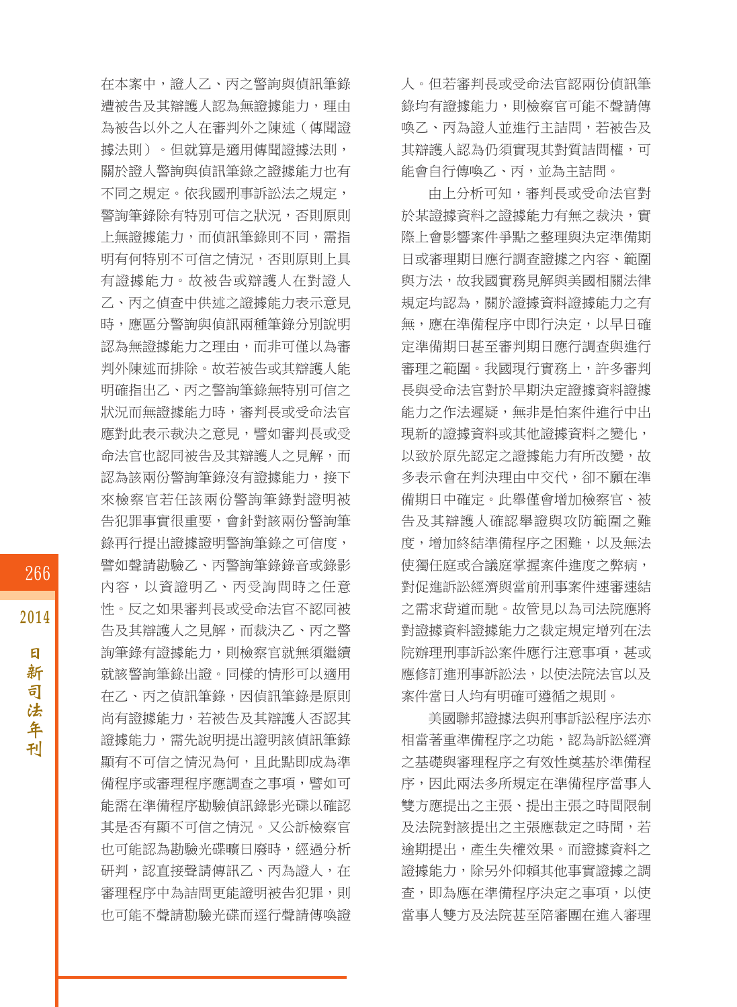在本案中,證人乙、丙之警詢與偵訊筆錄 遭被告及其辯護人認為無證據能力,理由 為被告以外之人在審判外之陳述(傳聞證 據法則)。但就算是適用傳聞證據法則, 關於證人警詢與偵訊筆錄之證據能力也有 不同之規定。依我國刑事訴訟法之規定, 警詢筆錄除有特別可信之狀況,否則原則 上無證據能力,而偵訊筆錄則不同,需指 明有何特別不可信之情況,否則原則上具 有證據能力。故被告或辯護人在對證人 乙、丙之偵查中供述之證據能力表示意見 時,應區分警詢與偵訊兩種筆錄分別說明 認為無證據能力之理由,而非可僅以為審 判外陳述而排除。故若被告或其辯護人能 明確指出乙、丙之警詢筆錄無特別可信之 狀況而無證據能力時,審判長或受命法官 應對此表示裁決之意見,譬如審判長或受 命法官也認同被告及其辯護人之見解,而 認為該兩份警詢筆錄沒有證據能力,接下 來檢察官若任該兩份警詢筆錄對證明被 告犯罪事實很重要,會針對該兩份警詢筆 錄再行提出證據證明警詢筆錄之可信度, 譬如聲請勘驗乙、丙警詢筆錄錄音或錄影 內容,以資證明乙、丙受詢問時之任意 性。反之如果審判長或受命法官不認同被 告及其辯護人之見解,而裁決乙、丙之警 詢筆錄有證據能力,則檢察官就無須繼續 就該警詢筆錄出證。同樣的情形可以適用 在乙、丙之偵訊筆錄,因偵訊筆錄是原則 尚有證據能力,若被告及其辯護人否認其 證據能力,需先說明提出證明該偵訊筆錄 顯有不可信之情況為何,且此點即成為準 備程序或審理程序應調查之事項,譬如可 能需在準備程序勘驗偵訊錄影光碟以確認 其是否有顯不可信之情況。又公訴檢察官 也可能認為勘驗光碟曠日廢時,經過分析 研判,認直接聲請傳訊乙、丙為證人,在 審理程序中為詰問更能證明被告犯罪,則 也可能不聲請勘驗光碟而逕行聲請傳喚證

人。但若審判長或受命法官認兩份偵訊筆 錄均有證據能力,則檢察官可能不聲請傳 喚乙、丙為證人並進行主詰問,若被告及 其辯護人認為仍須實現其對質詰問權,可 能會自行傳喚乙、丙,並為主詰問。

由上分析可知,審判長或受命法官對 於某證據資料之證據能力有無之裁決,實 際上會影響案件爭點之整理與決定準備期 日或審理期日應行調查證據之內容、範圍 與方法,故我國實務見解與美國相關法律 規定均認為,關於證據資料證據能力之有 無,應在準備程序中即行決定,以早日確 定準備期日甚至審判期日應行調查與進行 審理之範圍。我國現行實務上,許多審判 長與受命法官對於早期決定證據資料證據 能力之作法遲疑,無非是怕案件進行中出 現新的證據資料或其他證據資料之變化, 以致於原先認定之證據能力有所改變,故 多表示會在判決理由中交代,卻不願在準 備期日中確定。此舉僅會增加檢察官、被 告及其辯護人確認舉證與攻防範圍之難 度,增加終結準備程序之困難,以及無法 使獨任庭或合議庭掌握案件進度之弊病, 對促進訴訟經濟與當前刑事案件速審速結 之需求背道而馳。故管見以為司法院應將 對證據資料證據能力之裁定規定增列在法 院辦理刑事訴訟案件應行注意事項,甚或 應修訂進刑事訴訟法,以使法院法官以及 案件當日人均有明確可遵循之規則。

美國聯邦證據法與刑事訴訟程序法亦 相當著重準備程序之功能,認為訴訟經濟 之基礎與審理程序之有效性奠基於準備程 序,因此兩法多所規定在準備程序當事人 雙方應提出之主張、提出主張之時間限制 及法院對該提出之主張應裁定之時間,若 逾期提出,產生失權效果。而證據資料之 證據能力,除另外仰賴其他事實證據之調 查,即為應在準備程序決定之事項,以使 當事人雙方及法院甚至陪審團在進入審理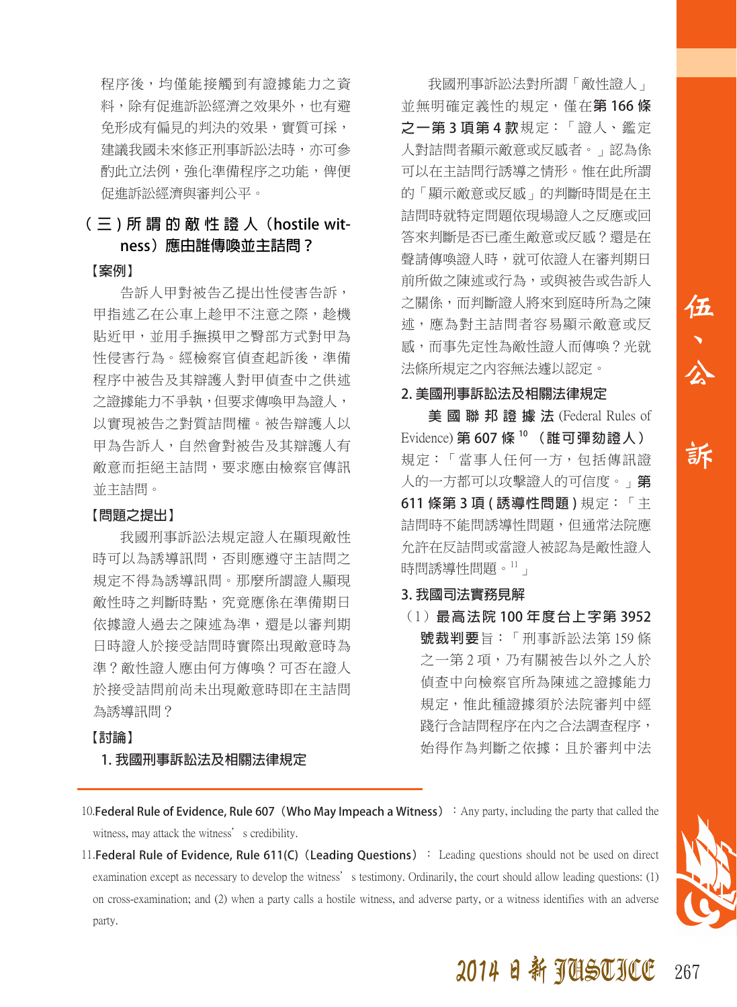程序後,均僅能接觸到有證據能力之資 料,除有促進訴訟經濟之效果外,也有避 免形成有偏見的判決的效果,實質可採, 建議我國未來修正刑事訴訟法時,亦可參 酌此立法例,強化準備程序之功能,俾便 促進訴訟經濟與審判公平。

### **( 三 ) 所 謂 的 敵 性 證 人(hostile witness)應由誰傳喚並主詰問?**

#### **【案例】**

告訴人甲對被告乙提出性侵害告訴, 甲指述乙在公車上趁甲不注意之際,趁機 貼近甲,並用手撫摸甲之臀部方式對甲為 性侵害行為。經檢察官偵查起訴後,準備 程序中被告及其辯護人對甲偵查中之供述 之證據能力不爭執,但要求傳喚甲為證人, 以實現被告之對質詰問權。被告辯護人以 甲為告訴人,自然會對被告及其辯護人有 敵意而拒絕主詰問,要求應由檢察官傳訊 並主詰問。

### **【問題之提出】**

我國刑事訴訟法規定證人在顯現敵性 時可以為誘導訊問,否則應遵守主詰問之 規定不得為誘導訊問。那麼所謂證人顯現 敵性時之判斷時點,究竟應係在準備期日 依據證人過去之陳述為準,還是以審判期 日時證人於接受詰問時實際出現敵意時為 準?敵性證人應由何方傳喚?可否在證人 於接受詰問前尚未出現敵意時即在主詰問 為誘導訊問?

### **【討論】**

**1. 我國刑事訴訟法及相關法律規定**

我國刑事訴訟法對所謂「敵性證人」 並無明確定義性的規定,僅在**第 166 條 之一第 3 項第 4 款**規定:「證人、鑑定 人對詰問者顯示敵意或反感者。」認為係 可以在主詰問行誘導之情形。惟在此所謂 的「顯示敵意或反感」的判斷時間是在主 詰問時就特定問題依現場證人之反應或回 答來判斷是否已產生敵意或反感?還是在 聲請傳喚證人時,就可依證人在審判期日 前所做之陳述或行為,或與被告或告訴人 之關係,而判斷證人將來到庭時所為之陳 述,應為對主詰問者容易顯示敵意或反 感,而事先定性為敵性證人而傳喚?光就 法條所規定之內容無法遽以認定。

### **2. 美國刑事訴訟法及相關法律規定**

**美國聯邦證據法** (Federal Rules of Evidence) **第 607 條 <sup>10</sup> (誰可彈劾證人)** 規定:「當事人任何一方,包括傳訊證 人的一方都可以攻擊證人的可信度。」**第 611 條第 3 項 ( 誘導性問題 )** 規定:「主 詰問時不能問誘導性問題,但通常法院應 允許在反詰問或當證人被認為是敵性證人 時間誘導性問題。11

### **3. 我國司法實務見解**

(1)**最 高 法 院 100 年 度 台 上 字 第 3952 號裁判要**旨:「刑事訴訟法第 159 條 之一第2項,乃有關被告以外之人於 偵查中向檢察官所為陳述之證據能力 規定,惟此種證據須於法院審判中經 踐行含詰問程序在內之合法調查程序, 始得作為判斷之依據;且於審判中法

10.**Federal Rule of Evidence, Rule 607(Who May Impeach a Witness)**:Any party, including the party that called the witness, may attack the witness' s credibility.

11.**Federal Rule of Evidence, Rule 611(C)(Leading Questions)**: Leading questions should not be used on direct examination except as necessary to develop the witness's testimony. Ordinarily, the court should allow leading questions: (1) on cross-examination; and (2) when a party calls a hostile witness, and adverse party, or a witness identifies with an adverse party.



伍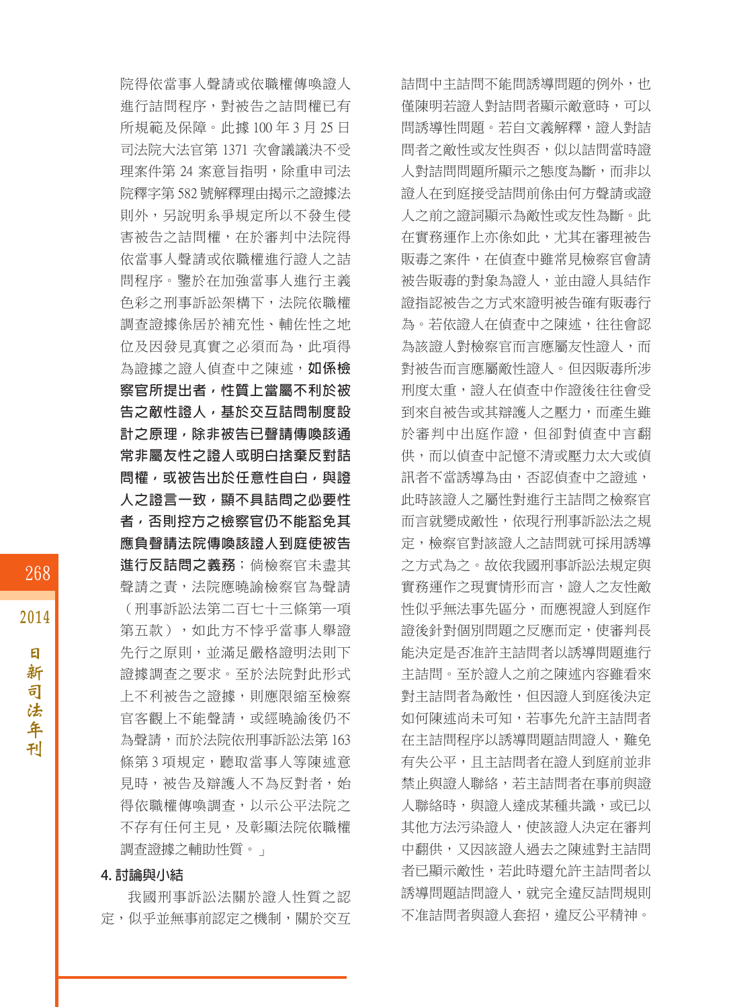院得依當事人聲請或依職權傳喚證人 進行詰問程序,對被告之詰問權已有 所規範及保障。此據 100 年 3 月 25 日 司法院大法官第 1371 次會議議決不受 理案件第 24 案意旨指明,除重申司法 院釋字第 582 號解釋理由揭示之證據法 則外,另說明系爭規定所以不發生侵 害被告之詰問權,在於審判中法院得 依當事人聲請或依職權進行證人之詰 問程序。鑒於在加強當事人進行主義 色彩之刑事訴訟架構下,法院依職權 調查證據係居於補充性、輔佐性之地 位及因發見真實之必須而為,此項得 為證據之證人偵查中之陳述,**如係檢 察官所提出者,性質上當屬不利於被 告之敵性證人,基於交互詰問制度設 計之原理,除非被告已聲請傳喚該通 常非屬友性之證人或明白捨棄反對詰 問權,或被告出於任意性自白,與證 人之證言一致,顯不具詰問之必要性 者,否則控方之檢察官仍不能豁免其 應負聲請法院傳喚該證人到庭使被告 進行反詰問之義務**;倘檢察官未盡其 聲請之責,法院應曉諭檢察官為聲請 (刑事訴訟法第二百七十三條第一項 第五款),如此方不悖乎當事人舉證 先行之原則,並滿足嚴格證明法則下 證據調查之要求。至於法院對此形式 上不利被告之證據,則應限縮至檢察 官客觀上不能聲請,或經曉諭後仍不 為聲請,而於法院依刑事訴訟法第 163 條第3項規定,聽取當事人等陳述意 見時,被告及辯護人不為反對者,始 得依職權傳喚調查,以示公平法院之 不存有任何主見,及彰顯法院依職權 調查證據之輔助性質。」

### **4. 討論與小結**

我國刑事訴訟法關於證人性質之認 定,似乎並無事前認定之機制,關於交互 詰問中主詰問不能問誘導問題的例外,也 僅陳明若證人對詰問者顯示敵意時,可以 問誘導性問題。若自文義解釋,證人對詰 問者之敵性或友性與否,似以詰問當時證 人對詰問問題所顯示之態度為斷,而非以 證人在到庭接受詰問前係由何方聲請或證 人之前之證詞顯示為敵性或友性為斷。此 在實務運作上亦係如此,尤其在審理被告 販毒之案件,在偵查中雖常見檢察官會請 被告販毒的對象為證人,並由證人具結作 證指認被告之方式來證明被告確有販毒行 為。若依證人在偵查中之陳述,往往會認 為該證人對檢察官而言應屬友性證人,而 對被告而言應屬敵性證人。但因販毒所涉 刑度太重,證人在偵查中作證後往往會受 到來自被告或其辯護人之壓力,而產生雖 於審判中出庭作證,但卻對偵查中言翻 供,而以偵查中記憶不清或壓力太大或偵 訊者不當誘導為由,否認偵查中之證述, 此時該證人之屬性對進行主詰問之檢察官 而言就變成敵性,依現行刑事訴訟法之規 定,檢察官對該證人之詰問就可採用誘導 之方式為之。故依我國刑事訴訟法規定與 實務運作之現實情形而言,證人之友性敵 性似乎無法事先區分,而應視證人到庭作 證後針對個別問題之反應而定,使審判長 能決定是否准許主詰問者以誘導問題進行 主詰問。至於證人之前之陳述內容雖看來 對主詰問者為敵性,但因證人到庭後決定 如何陳述尚未可知,若事先允許主詰問者 在主詰問程序以誘導問題詰問證人,難免 有失公平,且主詰問者在證人到庭前並非 禁止與證人聯絡,若主詰問者在事前與證 人聯絡時,與證人達成某種共識,或已以 其他方法污染證人,使該證人決定在審判 中翻供,又因該證人過去之陳述對主詰問 者已顯示敵性,若此時還允許主詰問者以 誘導問題詰問證人,就完全違反詰問規則 不准詰問者與證人套招,違反公平精神。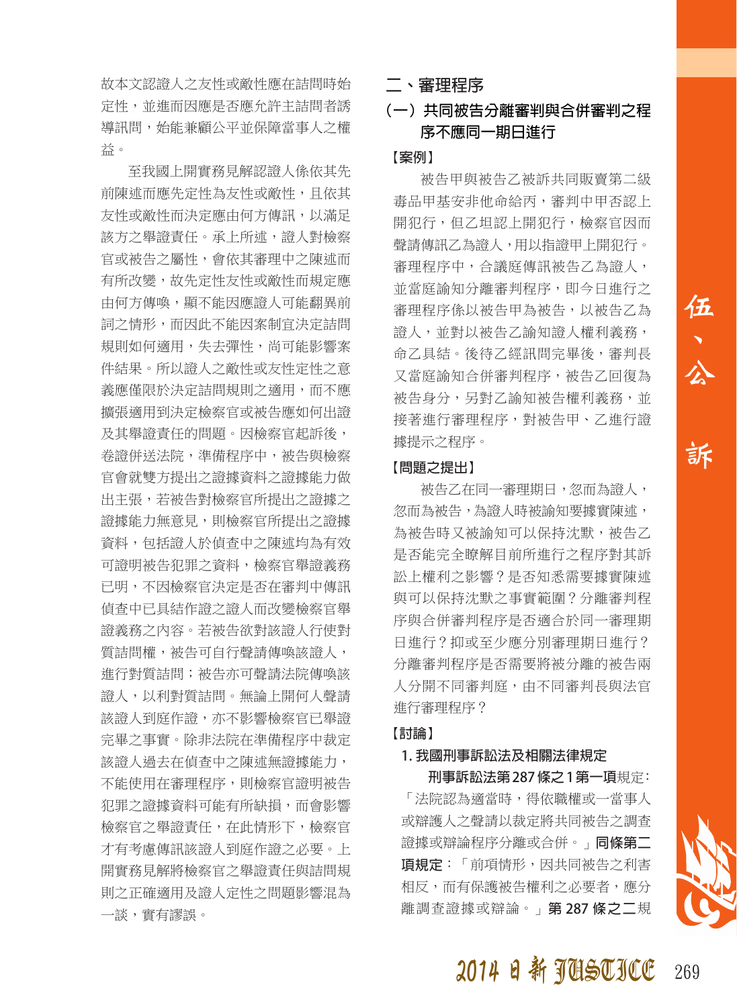伍

訴

故本文認證人之友性或敵性應在詰問時始 定性,並進而因應是否應允許主詰問者誘 導訊問,始能兼顧公平並保障當事人之權 益。

至我國上開實務見解認證人係依其先 前陳述而應先定性為友性或敵性,且依其 友性或敵性而決定應由何方傳訊,以滿足 該方之舉證責任。承上所述,證人對檢察 官或被告之屬性,會依其審理中之陳述而 有所改變,故先定性友性或敵性而規定應 由何方傳喚,顯不能因應證人可能翻異前 詞之情形,而因此不能因案制宜決定詰問 規則如何適用,失去彈性,尚可能影響案 件結果。所以證人之敵性或友性定性之意 義應僅限於決定詰問規則之適用,而不應 擴張適用到決定檢察官或被告應如何出證 及其舉證責任的問題。因檢察官起訴後, 卷證併送法院,準備程序中,被告與檢察 官會就雙方提出之證據資料之證據能力做 出主張,若被告對檢察官所提出之證據之 證據能力無意見,則檢察官所提出之證據 資料,包括證人於偵查中之陳述均為有效 可證明被告犯罪之資料,檢察官舉證義務 已明,不因檢察官決定是否在審判中傳訊 偵查中已具結作證之證人而改變檢察官舉 證義務之內容。若被告欲對該證人行使對 質詰問權,被告可自行聲請傳喚該證人, 進行對質詰問;被告亦可聲請法院傳喚該 證人,以利對質詰問。無論上開何人聲請 該證人到庭作證,亦不影響檢察官已舉證 完畢之事實。除非法院在準備程序中裁定 該證人過去在偵查中之陳述無證據能力, 不能使用在審理程序,則檢察官證明被告 犯罪之證據資料可能有所缺損,而會影響 檢察官之舉證責任,在此情形下,檢察官 才有考慮傳訊該證人到庭作證之必要。上 開實務見解將檢察官之舉證責任與詰問規 則之正確適用及證人定性之問題影響混為 一談,實有謬誤。

### **二、審理程序**

### **(一)共同被告分離審判與合併審判之程 序不應同一期日進行**

### **【案例】**

被告甲與被告乙被訴共同販賣第二級 毒品甲基安非他命給丙,審判中甲否認上 開犯行,但乙坦認上開犯行,檢察官因而 聲請傳訊乙為證人,用以指證甲上開犯行。 審理程序中,合議庭傳訊被告乙為證人, 並當庭諭知分離審判程序,即今日進行之 審理程序係以被告甲為被告,以被告乙為 證人,並對以被告乙諭知證人權利義務, 命乙具結。後待乙經訊問完畢後,審判長 又當庭諭知合併審判程序,被告乙回復為 被告身分,另對乙諭知被告權利義務,並 接著進行審理程序,對被告甲、乙進行證 據提示之程序。

### **【問題之提出】**

被告乙在同一審理期日,忽而為證人, 忽而為被告,為證人時被諭知要據實陳述, 為被告時又被諭知可以保持沈默,被告乙 是否能完全瞭解目前所進行之程序對其訴 訟上權利之影響?是否知悉需要據實陳述 與可以保持沈默之事實範圍?分離審判程 序與合併審判程序是否適合於同一審理期 日進行?抑或至少應分別審理期日進行? 分離審判程序是否需要將被分離的被告兩 人分開不同審判庭,由不同審判長與法官 進行審理程序?

### **【討論】**

### **1. 我國刑事訴訟法及相關法律規定**

**刑事訴訟法第 287 條之 1 第一項**規定: 「法院認為適當時,得依職權或一當事人 或辯護人之聲請以裁定將共同被告之調查 證據或辯論程序分離或合併。」**同條第二 項規定**:「前項情形,因共同被告之利害 相反,而有保護被告權利之必要者,應分 離調查證據或辯論。」**第 287 條之二**規

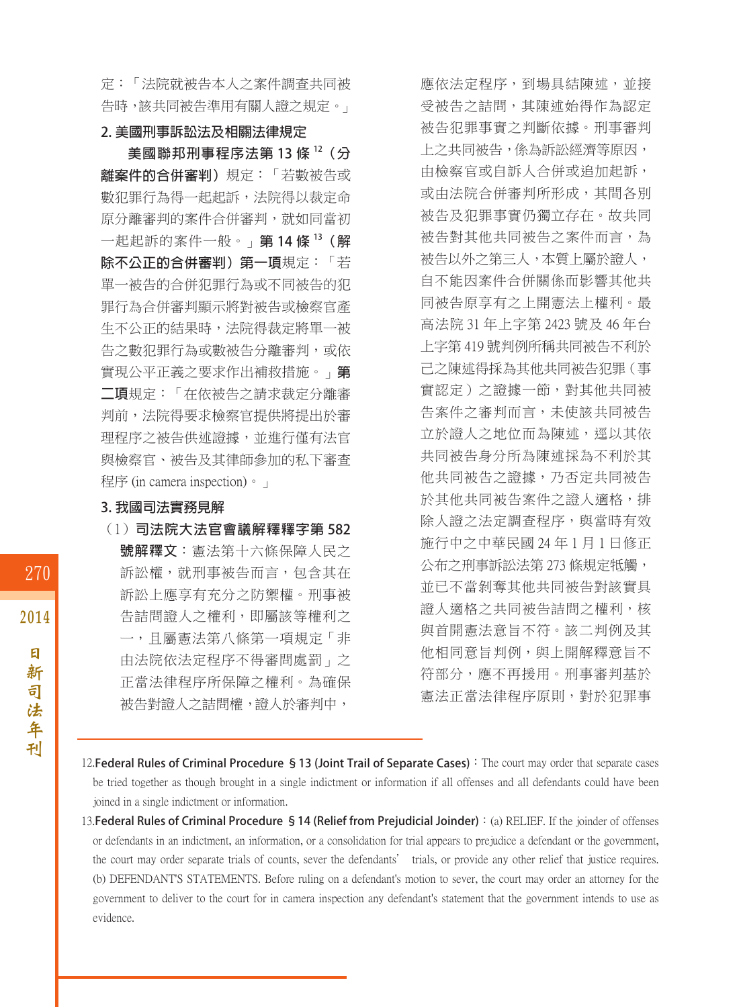定:「法院就被告本人之案件調查共同被 告時,該共同被告準用有關人證之規定。」

### **2. 美國刑事訴訟法及相關法律規定**

**美國聯邦刑事程序法第 13 條 12(分 離案件的合併審判)**規定:「若數被告或 數犯罪行為得一起起訴,法院得以裁定命 原分離審判的案件合併審判,就如同當初 一起起訴的案件一般。」**第 14 條 13(解 除不公正的合併審判)第一項**規定:「若 單一被告的合併犯罪行為或不同被告的犯 罪行為合併審判顯示將對被告或檢察官產 生不公正的結果時,法院得裁定將單一被 告之數犯罪行為或數被告分離審判,或依 實現公平正義之要求作出補救措施。」**第 二項**規定:「在依被告之請求裁定分離審 判前,法院得要求檢察官提供將提出於審 理程序之被告供述證據,並進行僅有法官 與檢察官、被告及其律師參加的私下審查 程序 (in camera inspection)。

### **3. 我國司法實務見解**

- (1)**司法院大法官會議解釋釋字第 582**
	- **號解釋文**:憲法第十六條保障人民之 訴訟權,就刑事被告而言,包含其在 訴訟上應享有充分之防禦權。刑事被 告詰問證人之權利,即屬該等權利之 一,且屬憲法第八條第一項規定「非 由法院依法定程序不得審問處罰」之 正當法律程序所保障之權利。為確保 被告對證人之詰問權,證人於審判中,

應依法定程序,到場具結陳述,並接 受被告之詰問,其陳述始得作為認定 被告犯罪事實之判斷依據。刑事審判 上之共同被告,係為訴訟經濟等原因, 由檢察官或自訴人合併或追加起訴, 或由法院合併審判所形成,其間各別 被告及犯罪事實仍獨立存在。故共同 被告對其他共同被告之案件而言,為 被告以外之第三人,本質上屬於證人, 自不能因案件合併關係而影響其他共 同被告原享有之上開憲法上權利。最 高法院 31 年上字第 2423 號及 46 年台 上字第 419 號判例所稱共同被告不利於 己之陳述得採為其他共同被告犯罪(事 實認定)之證據一節,對其他共同被 告案件之審判而言,未使該共同被告 立於證人之地位而為陳述,逕以其依 共同被告身分所為陳述採為不利於其 他共同被告之證據,乃否定共同被告 於其他共同被告案件之證人適格,排 除人證之法定調查程序,與當時有效 施行中之中華民國 24 年 1 月 1 日修正 公布之刑事訴訟法第 273 條規定牴觸, 並已不當剝奪其他共同被告對該實具 證人適格之共同被告詰問之權利,核 與首開憲法意旨不符。該二判例及其 他相同意旨判例,與上開解釋意旨不 符部分,應不再援用。刑事審判基於 憲法正當法律程序原則,對於犯罪事

- 12.**Federal Rules of Criminal Procedure §13 (Joint Trail of Separate Cases)**:The court may order that separate cases be tried together as though brought in a single indictment or information if all offenses and all defendants could have been joined in a single indictment or information.
- 13.**Federal Rules of Criminal Procedure §14 (Relief from Prejudicial Joinder)**:(a) RELIEF. If the joinder of offenses or defendants in an indictment, an information, or a consolidation for trial appears to prejudice a defendant or the government, the court may order separate trials of counts, sever the defendants' trials, or provide any other relief that justice requires. (b) DEFENDANT'S STATEMENTS. Before ruling on a defendant's motion to sever, the court may order an attorney for the government to deliver to the court for in camera inspection any defendant's statement that the government intends to use as evidence.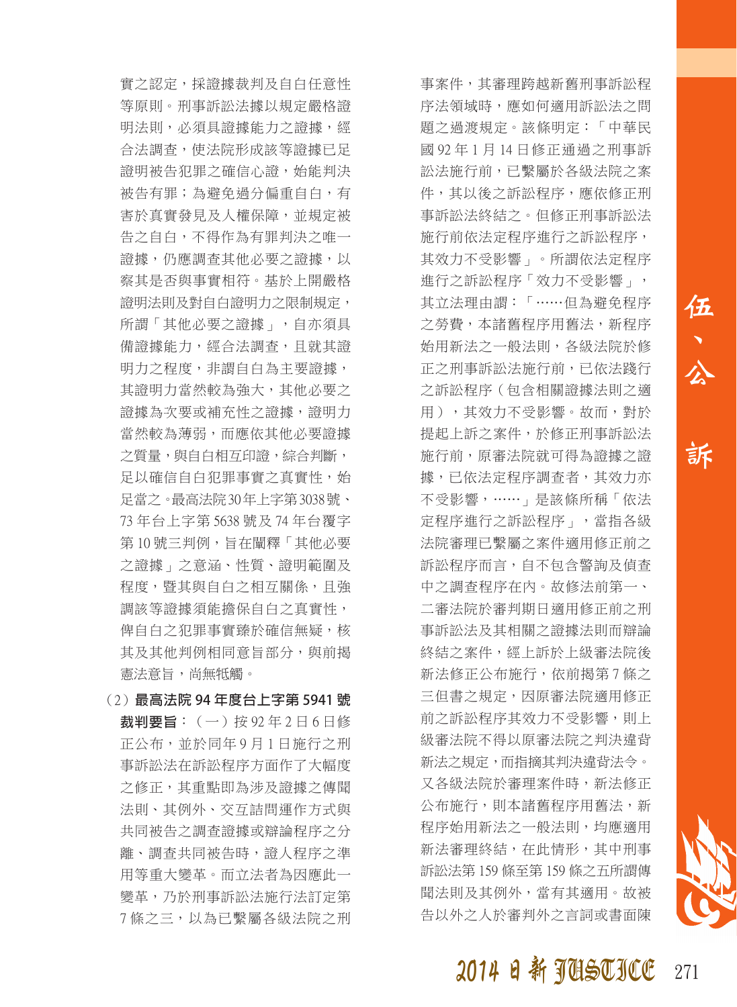實之認定,採證據裁判及自白任意性 等原則。刑事訴訟法據以規定嚴格證 明法則,必須具證據能力之證據,經 合法調查,使法院形成該等證據已足 證明被告犯罪之確信心證,始能判決 被告有罪;為避免過分偏重自白,有 害於真實發見及人權保障,並規定被 告之自白,不得作為有罪判決之唯一 證據,仍應調查其他必要之證據,以 察其是否與事實相符。基於上開嚴格 證明法則及對自白證明力之限制規定, 所謂「其他必要之證據」,自亦須具 備證據能力,經合法調查,且就其證 明力之程度,非謂自白為主要證據, 其證明力當然較為強大,其他必要之 證據為次要或補充性之證據,證明力 當然較為薄弱,而應依其他必要證據 之質量,與自白相互印證,綜合判斷, 足以確信自白犯罪事實之真實性,始 足當之。最高法院 30 年上字第 3038 號、 73 年台上字第 5638 號及 74 年台覆字 第10號三判例,旨在闡釋「其他必要 之證據」之意涵、性質、證明範圍及 程度,暨其與自白之相互關係,且強 調該等證據須能擔保自白之真實性, 俾自白之犯罪事實臻於確信無疑,核 其及其他判例相同意旨部分,與前揭 憲法意旨,尚無牴觸。

(2)**最高法院 94 年度台上字第 5941 號 裁判要旨**:(一)按 92 年 2 日 6 日修 正公布,並於同年 9 月 1 日施行之刑 事訴訟法在訴訟程序方面作了大幅度 之修正,其重點即為涉及證據之傳聞 法則、其例外、交互詰問運作方式與 共同被告之調查證據或辯論程序之分 離、調查共同被告時,證人程序之準 用等重大變革。而立法者為因應此一 變革,乃於刑事訴訟法施行法訂定第 7 條之三,以為已繫屬各級法院之刑

事案件,其審理跨越新舊刑事訴訟程 序法領域時,應如何適用訴訟法之問 題之過渡規定。該條明定:「中華民 國 92 年 1 月 14 日修正通過之刑事訴 訟法施行前,已繫屬於各級法院之案 件,其以後之訴訟程序,應依修正刑 事訴訟法終結之。但修正刑事訴訟法 施行前依法定程序進行之訴訟程序, 其效力不受影響」。所謂依法定程序 進行之訴訟程序「效力不受影響」, 其立法理由謂:「……但為避免程序 之勞費,本諸舊程序用舊法,新程序 始用新法之一般法則,各級法院於修 正之刑事訴訟法施行前,已依法踐行 之訴訟程序(包含相關證據法則之適 用),其效力不受影響。故而,對於 提起上訴之案件,於修正刑事訴訟法 施行前,原審法院就可得為證據之證 據,已依法定程序調查者,其效力亦 不受影響,……」是該條所稱「依法 定程序進行之訴訟程序」,當指各級 法院審理已繫屬之案件適用修正前之 訴訟程序而言,自不包含警詢及偵查 中之調查程序在內。故修法前第一、 二審法院於審判期日適用修正前之刑 事訴訟法及其相關之證據法則而辯論 終結之案件,經上訴於上級審法院後 新法修正公布施行,依前揭第 7 條之 三但書之規定,因原審法院適用修正 前之訴訟程序其效力不受影響,則上 級審法院不得以原審法院之判決違背 新法之規定,而指摘其判決違背法令。 又各級法院於審理案件時,新法修正 公布施行,則本諸舊程序用舊法,新 程序始用新法之一般法則,均應適用 新法審理終結,在此情形,其中刑事 訴訟法第 159 條至第 159 條之五所謂傳 聞法則及其例外,當有其適用。故被 告以外之人於審判外之言詞或書面陳



伍

訴

2014 日新 TUSTJUE 271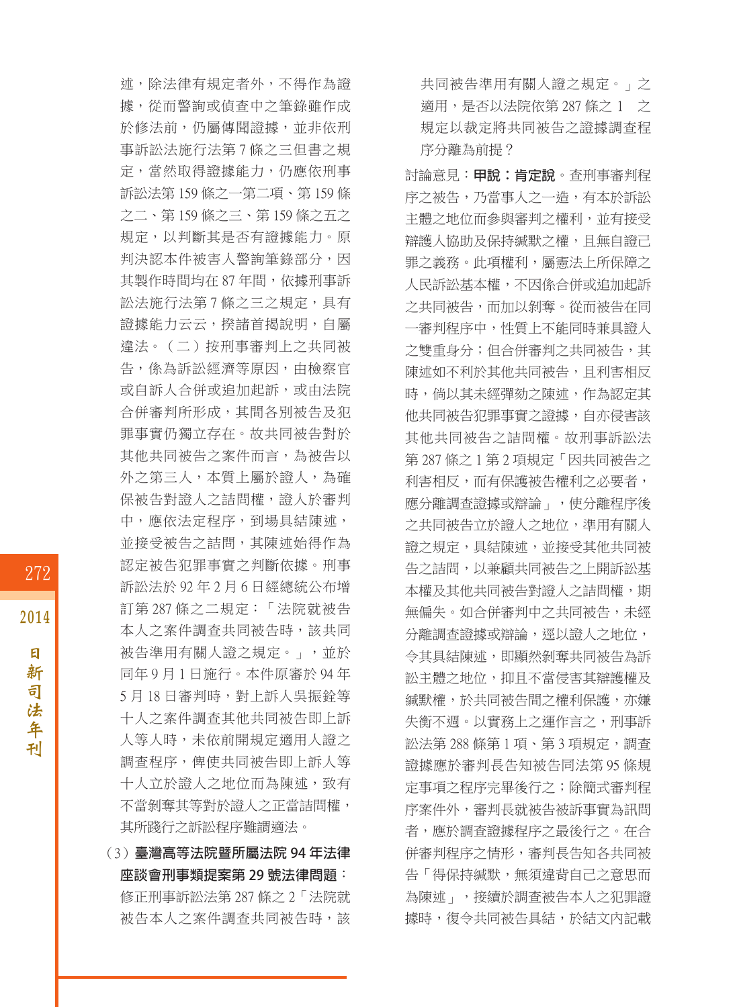述,除法律有規定者外,不得作為證 據,從而警詢或偵查中之筆錄雖作成 於修法前,仍屬傳聞證據,並非依刑 事訴訟法施行法第 7 條之三但書之規 定,當然取得證據能力,仍應依刑事 訴訟法第 159 條之一第二項、第 159 條 之二、第 159 條之三、第 159 條之五之 規定,以判斷其是否有證據能力。原 判決認本件被害人警詢筆錄部分,因 其製作時間均在 87年間,依據刑事訴 訟法施行法第7條之三之規定,具有 證據能力云云,揆諸首揭說明,自屬 違法。(二)按刑事審判上之共同被 告,係為訴訟經濟等原因,由檢察官 或自訴人合併或追加起訴,或由法院 合併審判所形成,其間各別被告及犯 罪事實仍獨立存在。故共同被告對於 其他共同被告之案件而言,為被告以 外之第三人,本質上屬於證人,為確 保被告對證人之詰問權,證人於審判 中,應依法定程序,到場具結陳述, 並接受被告之詰問,其陳述始得作為 認定被告犯罪事實之判斷依據。刑事 訴訟法於 92 年 2 月 6 日經總統公布增 訂第 287 條之二規定:「法院就被告 本人之案件調查共同被告時,該共同 被告準用有關人證之規定。」,並於 同年 9 月 1 日施行。本件原審於 94 年 5月18日審判時,對上訴人吳振鈴等 十人之案件調查其他共同被告即上訴 人等人時,未依前開規定適用人證之 調查程序,俾使共同被告即上訴人等 十人立於證人之地位而為陳述,致有 不當剝奪其等對於證人之正當詰問權, 其所踐行之訴訟程序難謂適法。

(3)**臺灣高等法院暨所屬法院 94 年法律 座談會刑事類提案第 29 號法律問題**: 修正刑事訴訟法第 287 條之 2「法院就 被告本人之案件調查共同被告時,該

共同被告準用有關人證之規定。」之 適用,是否以法院依第 287 條之 1 之 規定以裁定將共同被告之證據調查程 序分離為前提?

討論意見:**甲說:肯定說**。查刑事審判程 序之被告,乃當事人之一造,有本於訴訟 主體之地位而參與審判之權利,並有接受 辯護人協助及保持緘默之權,且無自證己 罪之義務。此項權利,屬憲法上所保障之 人民訴訟基本權,不因係合併或追加起訴 之共同被告,而加以剝奪。從而被告在同 一審判程序中,性質上不能同時兼具證人 之雙重身分;但合併審判之共同被告,其 陳述如不利於其他共同被告,且利害相反 時,倘以其未經彈劾之陳述,作為認定其 他共同被告犯罪事實之證據,自亦侵害該 其他共同被告之詰問權。故刑事訴訟法 第 287 條之 1 第 2 項規定「因共同被告之 利害相反,而有保護被告權利之必要者, 應分離調查證據或辯論」,使分離程序後 之共同被告立於證人之地位,準用有關人 證之規定,具結陳述,並接受其他共同被 告之詰問,以兼顧共同被告之上開訴訟基 本權及其他共同被告對證人之詰問權,期 無偏失。如合併審判中之共同被告,未經 分離調查證據或辯論,逕以證人之地位, 令其具結陳述,即顯然剝奪共同被告為訴 訟主體之地位,抑且不當侵害其辯護權及 **緘默權,於共同被告間之權利保護,亦嫌** 失衡不週。以實務上之運作言之,刑事訴 訟法第 288 條第1項、第3項規定,調査 證據應於審判長告知被告同法第 95 條規 定事項之程序完畢後行之;除簡式審判程 序案件外,審判長就被告被訴事實為訊問 者,應於調查證據程序之最後行之。在合 併審判程序之情形,審判長告知各共同被 告「得保持緘默,無須違背自己之意思而 為陳述」,接續於調查被告本人之犯罪證 據時,復令共同被告具結,於結文內記載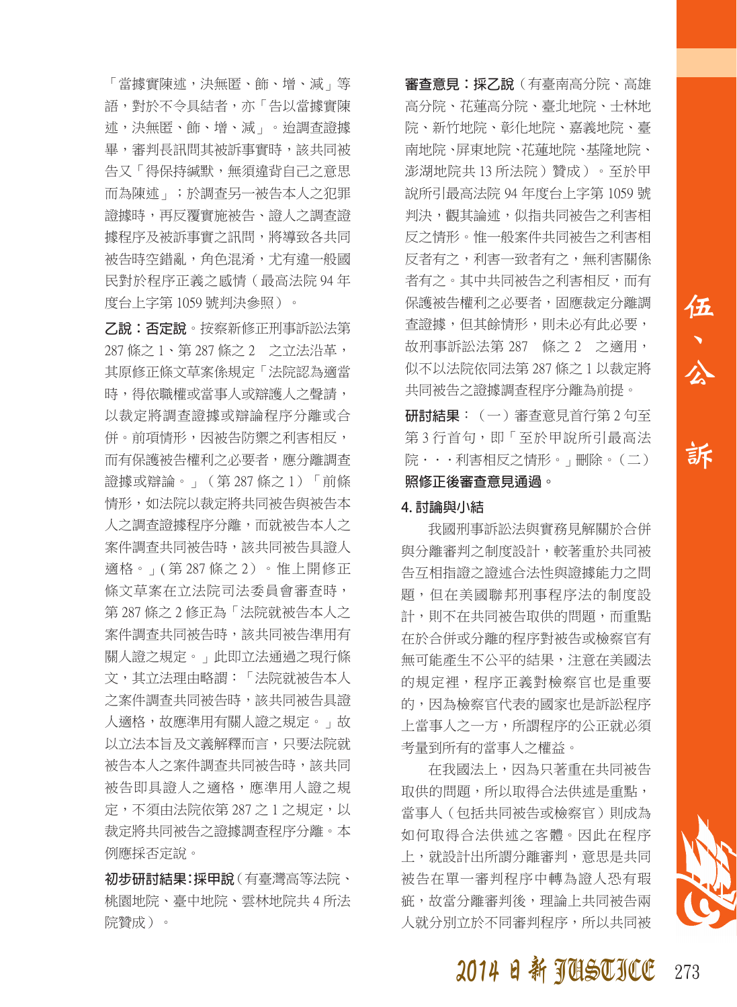「當據實陳述,決無匿、飾、增、減」等 語,對於不令具結者,亦「告以當據實陳 述,決無匿、飾、增、減」。迨調查證據 畢,審判長訊問其被訴事實時,該共同被 告又「得保持緘默,無須違背自己之意思 而為陳述」;於調查另一被告本人之犯罪 證據時,再反覆實施被告、證人之調查證 據程序及被訴事實之訊問,將導致各共同 被告時空錯亂,角色混淆,尤有違一般國 民對於程序正義之感情(最高法院 94 年 度台上字第 1059 號判決參照)。

**乙說:否定說**。按察新修正刑事訴訟法第 287 條之 1、第 287 條之 2 之立法沿革, 其原修正條文草案係規定「法院認為適當 時,得依職權或當事人或辯護人之聲請, 以裁定將調查證據或辯論程序分離或合 併。前項情形,因被告防禦之利害相反, 而有保護被告權利之必要者,應分離調查 證據或辯論。」(第 287 條之 1)「前條 情形,如法院以裁定將共同被告與被告本 人之調查證據程序分離,而就被告本人之 案件調查共同被告時,該共同被告具證人 適格。」( 第 287 條之 2)。惟上開修正 條文草案在立法院司法委員會審查時, 第 287 條之 2 修正為「法院就被告本人之 案件調查共同被告時,該共同被告準用有 關人證之規定。」此即立法通過之現行條 文,其立法理由略謂:「法院就被告本人 之案件調查共同被告時,該共同被告具證 人適格,故應準用有關人證之規定。」故 以立法本旨及文義解釋而言,只要法院就 被告本人之案件調查共同被告時,該共同 被告即具證人之適格,應準用人證之規 定,不須由法院依第 287 之 1 之規定,以 裁定將共同被告之證據調查程序分離。本 例應採否定說。

**初步研討結果:採甲說**(有臺灣高等法院、 桃園地院、臺中地院、雲林地院共 4 所法 院贊成)。

**審查意見:採乙說**(有臺南高分院、高雄 高分院、花蓮高分院、臺北地院、士林地 院、新竹地院、彰化地院、嘉義地院、臺 南地院、屏東地院、花蓮地院、基隆地院、 澎湖地院共13 所法院)贊成)。至於甲 說所引最高法院 94 年度台上字第 1059 號 判決,觀其論述,似指共同被告之利害相 反之情形。惟一般案件共同被告之利害相 反者有之,利害一致者有之,無利害關係 者有之。其中共同被告之利害相反,而有 保護被告權利之必要者,固應裁定分離調 查證據,但其餘情形,則未必有此必要, 故刑事訴訟法第 287 條之 2 之適用, 似不以法院依同法第 287 條之 1 以裁定將 共同被告之證據調查程序分離為前提。

**研討結果**:(一)審查意見首行第 2 句至 第3行首句,即「至於甲說所引最高法 院...利害相反之情形。」刪除。(二) **照修正後審查意見通過。**

### **4. 討論與小結**

我國刑事訴訟法與實務見解關於合併 與分離審判之制度設計,較著重於共同被 告互相指證之證述合法性與證據能力之問 題,但在美國聯邦刑事程序法的制度設 計,則不在共同被告取供的問題,而重點 在於合併或分離的程序對被告或檢察官有 無可能產生不公平的結果,注意在美國法 的規定裡,程序正義對檢察官也是重要 的,因為檢察官代表的國家也是訴訟程序 上當事人之一方,所謂程序的公正就必須 考量到所有的當事人之權益。

在我國法上,因為只著重在共同被告 取供的問題,所以取得合法供述是重點, 當事人(包括共同被告或檢察官)則成為 如何取得合法供述之客體。因此在程序 上,就設計出所謂分離審判,意思是共同 被告在單一審判程序中轉為證人恐有瑕 疵,故當分離審判後,理論上共同被告兩 人就分別立於不同審判程序,所以共同被



伍

訴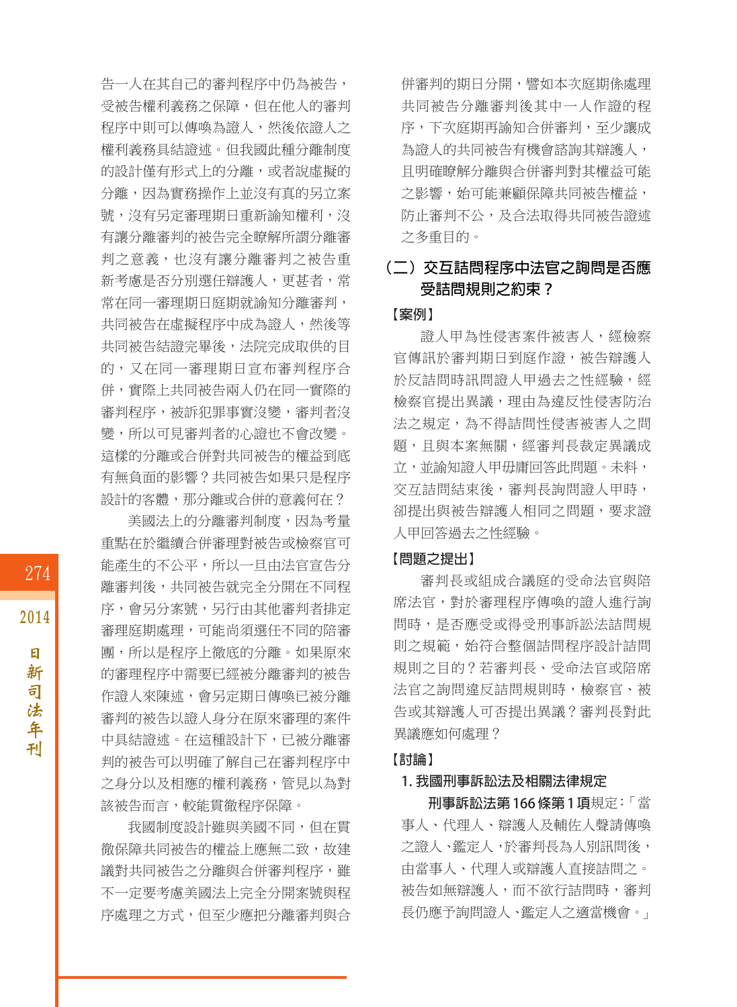告一人在其自己的審判程序中仍為被告, 受被告權利義務之保障,但在他人的審判 程序中則可以傳喚為證人,然後依證人之 權利義務具結證述。但我國此種分離制度 的設計僅有形式上的分離,或者說虛擬的 分離,因為實務操作上並沒有真的另立案 號,沒有另定審理期日重新諭知權利,沒 有讓分離審判的被告完全瞭解所謂分離審 判之意義,也沒有讓分離審判之被告重 新考慮是否分別選任辯護人,更甚者,常 常在同一審理期日庭期就諭知分離審判, 共同被告在虛擬程序中成為證人,然後等 共同被告結證完畢後,法院完成取供的目 的,又在同一審理期日宣布審判程序合 併,實際上共同被告兩人仍在同一實際的 審判程序,被訴犯罪事實沒變,審判者沒 變,所以可見審判者的心證也不會改變。 這樣的分離或合併對共同被告的權益到底 有無負面的影響?共同被告如果只是程序 設計的客體,那分離或合併的意義何在?

美國法上的分離審判制度,因為考量 重點在於繼續合併審理對被告或檢察官可 能產生的不公平,所以一旦由法官宣告分 離審判後,共同被告就完全分開在不同程 序,會另分案號,另行由其他審判者排定 審理庭期處理,可能尚須選任不同的陪審 團,所以是程序上徹底的分離。如果原來 的審理程序中需要已經被分離審判的被告 作證人來陳述,會另定期日傳喚已被分離 審判的被告以證人身分在原來審理的案件 中具結證述。在這種設計下,已被分離審 判的被告可以明確了解自己在審判程序中 之身分以及相應的權利義務,管見以為對 該被告而言,較能貫徹程序保障。

我國制度設計雖與美國不同,但在貫 徹保障共同被告的權益上應無二致,故建 議對共同被告之分離與合併審判程序,雖 不一定要考慮美國法上完全分開案號與程 序處理之方式,但至少應把分離審判與合 併審判的期日分開,譬如本次庭期係處理 共同被告分離審判後其中一人作證的程 序,下次庭期再諭知合併審判,至少讓成 為證人的共同被告有機會諮詢其辯護人, 且明確瞭解分離與合併審判對其權益可能 之影響,始可能兼顧保障共同被告權益, 防止審判不公,及合法取得共同被告證述 之多重目的。

### **(二)交互詰問程序中法官之詢問是否應 受詰問規則之約束?**

#### **【案例】**

證人甲為性侵害案件被害人,經檢察 官傳訊於審判期日到庭作證,被告辯護人 於反詰問時訊問證人甲過去之性經驗,經 檢察官提出異議,理由為違反性侵害防治 法之規定,為不得詰問性侵害被害人之問 題,且與本案無關,經審判長裁定異議成 立,並諭知證人甲毋庸回答此問題。未料, 交互詰問結束後,審判長詢問證人甲時, 卻提出與被告辯護人相同之問題,要求證 人甲回答過去之性經驗。

### **【問題之提出】**

審判長或組成合議庭的受命法官與陪 席法官,對於審理程序傳喚的證人進行詢 問時,是否應受或得受刑事訴訟法詰問規 則之規範,始符合整個詰問程序設計詰問 規則之目的?若審判長、受命法官或陪席 法官之詢問違反詰問規則時,檢察官、被 告或其辯護人可否提出異議?審判長對此 異議應如何處理?

### **【討論】**

### **1. 我國刑事訴訟法及相關法律規定**

**刑事訴訟法第 166 條第 1 項**規定:「當 事人、代理人、辯護人及輔佐人聲請傳喚 之證人、鑑定人,於審判長為人別訊問後, 由當事人、代理人或辯護人直接詰問之。 被告如無辯護人,而不欲行詰問時,審判 長仍應予詢問證人、鑑定人之適當機會。」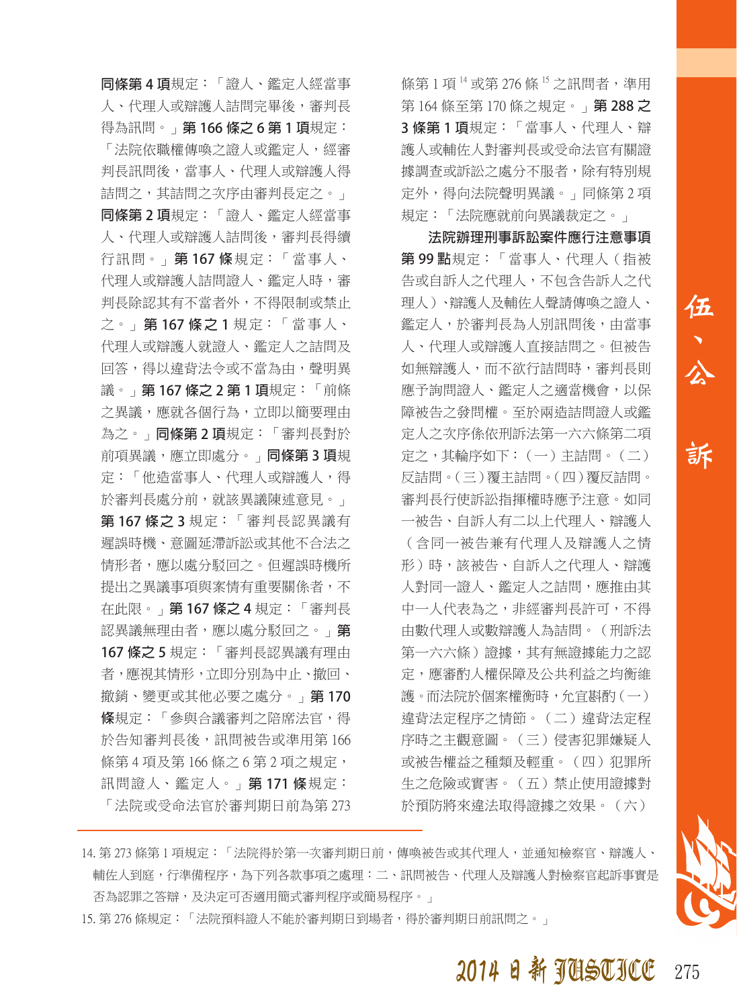**同條第 4 項**規定:「證人、鑑定人經當事 人、代理人或辯護人詰問完畢後,審判長 得為訊問。」**第 166 條之 6 第 1 項**規定: 「法院依職權傳喚之證人或鑑定人,經審 判長訊問後,當事人、代理人或辯護人得 詰問之,其詰問之次序由審判長定之。」 **同條第 2 項**規定:「證人、鑑定人經當事 人、代理人或辯護人詰問後,審判長得續 行訊問。」**第 167 條**規定:「當事人、 代理人或辯護人詰問證人、鑑定人時,審 判長除認其有不當者外,不得限制或禁止 之。」**第 167 條 之 1** 規 定:「 當 事 人、 代理人或辯護人就證人、鑑定人之詰問及 回答,得以違背法令或不當為由,聲明異 議。」**第 167 條之 2 第 1 項**規定:「前條 之異議,應就各個行為,立即以簡要理由 為之。」**同條第 2 項**規定:「審判長對於 前項異議,應立即處分。」**同條第 3 項**規 定:「他造當事人、代理人或辯護人,得 於審判長處分前,就該異議陳述意見。」 **第 167 條之 3** 規定:「審判長認異議有 遲誤時機、意圖延滯訴訟或其他不合法之 情形者,應以處分駁回之。但遲誤時機所 提出之異議事項與案情有重要關係者,不 在此限。」**第 167 條之 4** 規定:「審判長 認異議無理由者,應以處分駁回之。」**第 167 條之 5** 規定:「審判長認異議有理由 者,應視其情形,立即分別為中止、撤回、 撤銷、變更或其他必要之處分。」**第 170 條**規定:「參與合議審判之陪席法官,得 於告知審判長後,訊問被告或準用第 166 條第 4 項及第 166 條之 6 第 2 項之規定, 訊問證人、鑑定人。」**第 171 條**規定: 「法院或受命法官於審判期日前為第 273

條第1項<sup>14</sup>或第276條<sup>15</sup>之訊問者,準用 第 164 條至第 170 條之規定。」**第 288 之 3 條第 1 項**規定:「當事人、代理人、辯 護人或輔佐人對審判長或受命法官有關證 據調查或訴訟之處分不服者,除有特別規 定外,得向法院聲明異議。」同條第 2 項 規定:「法院應就前向異議裁定之。」

**法院辦理刑事訴訟案件應行注意事項 第 99 點**規定:「當事人、代理人(指被 告或自訴人之代理人,不包含告訴人之代 理人)、辯護人及輔佐人聲請傳喚之證人、 鑑定人,於審判長為人別訊問後,由當事 人、代理人或辯護人直接詰問之。但被告 如無辯護人,而不欲行詰問時,審判長則 應予詢問證人、鑑定人之適當機會,以保 障被告之發問權。至於兩造詰問證人或鑑 定人之次序係依刑訴法第一六六條第二項 定之,其輪序如下:(一)主詰問。(二) 反詰問。(三)覆主詰問。(四)覆反詰問。 審判長行使訴訟指揮權時應予注意。如同 一被告、自訴人有二以上代理人、辯護人 (含同一被告兼有代理人及辯護人之情 形)時,該被告、自訴人之代理人、辯護 人對同一證人、鑑定人之詰問,應推由其 中一人代表為之,非經審判長許可,不得 由數代理人或數辯護人為詰問。(刑訴法 第一六六條)證據,其有無證據能力之認 定,應審酌人權保障及公共利益之均衡維 護。而法院於個案權衡時,允宜斟酌(一) 違背法定程序之情節。(二)違背法定程 序時之主觀意圖。(三)侵害犯罪嫌疑人 或被告權益之種類及輕重。(四)犯罪所 生之危險或實害。(五)禁止使用證據對 於預防將來違法取得證據之效果。(六)

14. 第 273 條第 1 項規定:「法院得於第一次審判期日前,傳喚被告或其代理人,並通知檢察官、辯護人、 輔佐人到庭,行準備程序,為下列各款事項之處理:二、訊問被告、代理人及辯護人對檢察官起訴事實是 否為認罪之答辯,及決定可否適用簡式審判程序或簡易程序。」

15. 第 276 條規定:「法院預料證人不能於審判期日到場者,得於審判期日前訊問之。」



伍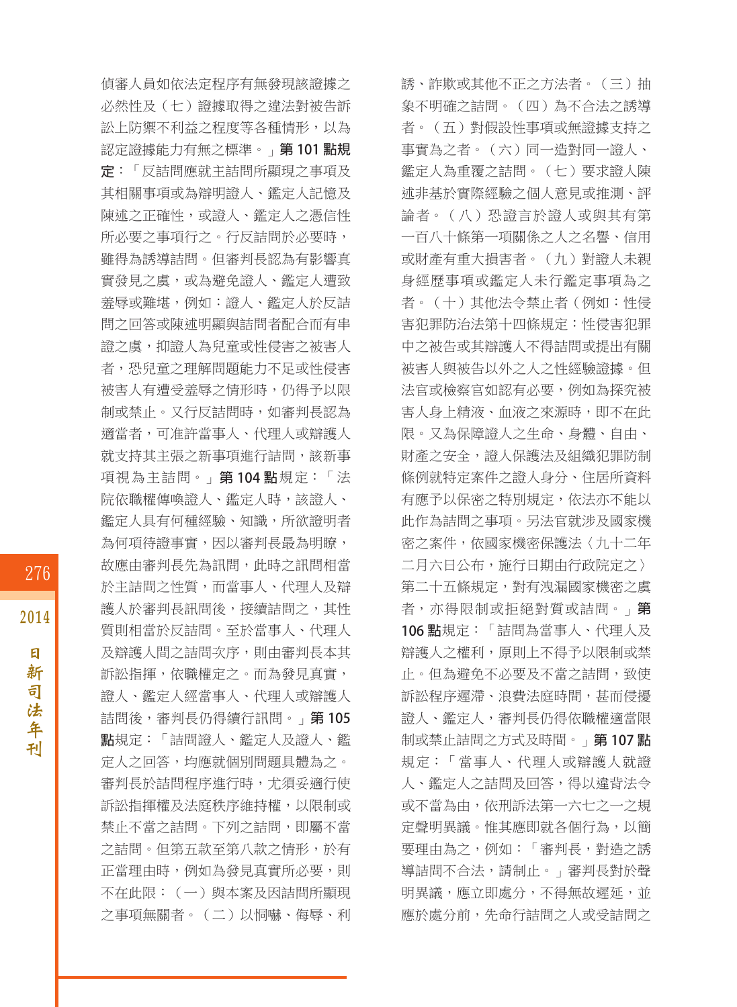偵審人員如依法定程序有無發現該證據之 必然性及(七)證據取得之違法對被告訴 訟上防禦不利益之程度等各種情形,以為 認定證據能力有無之標準。」**第 101 點規 定**:「反詰問應就主詰問所顯現之事項及 其相關事項或為辯明證人、鑑定人記憶及 陳述之正確性,或證人、鑑定人之憑信性 所必要之事項行之。行反詰問於必要時, 雖得為誘導詰問。但審判長認為有影響真 實發見之虞,或為避免證人、鑑定人遭致 羞辱或難堪,例如:證人、鑑定人於反詰 問之回答或陳述明顯與詰問者配合而有串 證之虞,抑證人為兒童或性侵害之被害人 者,恐兒童之理解問題能力不足或性侵害 被害人有遭受羞辱之情形時,仍得予以限 制或禁止。又行反詰問時,如審判長認為 適當者,可准許當事人、代理人或辯護人 就支持其主張之新事項進行詰問,該新事 項視為主詰問。」**第 104 點**規定:「法 院依職權傳喚證人、鑑定人時,該證人、 鑑定人具有何種經驗、知識,所欲證明者 為何項待證事實,因以審判長最為明瞭, 故應由審判長先為訊問,此時之訊問相當 於主詰問之性質,而當事人、代理人及辯 護人於審判長訊問後,接續詰問之,其性 質則相當於反詰問。至於當事人、代理人 及辯護人間之詰問次序,則由審判長本其 訴訟指揮,依職權定之。而為發見真實, 證人、鑑定人經當事人、代理人或辯護人 詰問後,審判長仍得續行訊問。」**第 105 點**規定:「詰問證人、鑑定人及證人、鑑 定人之回答,均應就個別問題具體為之。 審判長於詰問程序進行時,尤須妥適行使 訴訟指揮權及法庭秩序維持權,以限制或 禁止不當之詰問。下列之詰問,即屬不當 之詰問。但第五款至第八款之情形,於有 正當理由時,例如為發見真實所必要,則 不在此限:(一)與本案及因詰問所顯現 之事項無關者。(二)以恫嚇、侮辱、利

誘、詐欺或其他不正之方法者。(三)抽 象不明確之詰問。(四)為不合法之誘導 者。(五)對假設性事項或無證據支持之 事實為之者。(六)同一造對同一證人、 鑑定人為重覆之詰問。(七)要求證人陳 述非基於實際經驗之個人意見或推測、評 論者。(八)恐證言於證人或與其有第 一百八十條第一項關係之人之名譽、信用 或財產有重大損害者。(九)對證人未親 身經歷事項或鑑定人未行鑑定事項為之 者。(十)其他法令禁止者(例如:性侵 害犯罪防治法第十四條規定:性侵害犯罪 中之被告或其辯護人不得詰問或提出有關 被害人與被告以外之人之性經驗證據。但 法官或檢察官如認有必要,例如為探究被 害人身上精液、血液之來源時,即不在此。 限。又為保障證人之生命、身體、自由、 財產之安全,證人保護法及組織犯罪防制 條例就特定案件之證人身分、住居所資料 有應予以保密之特別規定,依法亦不能以 此作為詰問之事項。另法官就涉及國家機 密之案件,依國家機密保護法〈九十二年 二月六日公布,施行日期由行政院定之〉 第二十五條規定,對有洩漏國家機密之虞 者,亦得限制或拒絕對質或詰問。」**第 106 點**規定:「詰問為當事人、代理人及 辯護人之權利,原則上不得予以限制或禁 止。但為避免不必要及不當之詰問,致使 訴訟程序遲滯、浪費法庭時間,甚而侵擾 證人、鑑定人,審判長仍得依職權適當限 制或禁止詰問之方式及時間。」**第 107 點** 規定:「當事人、代理人或辯護人就證 人、鑑定人之詰問及回答,得以違背法令 或不當為由,依刑訴法第一六七之一之規 定聲明異議。惟其應即就各個行為,以簡 要理由為之,例如:「審判長,對造之誘 導詰問不合法,請制止。」審判長對於聲 明異議,應立即處分,不得無故遲延,並 應於處分前,先命行詰問之人或受詰問之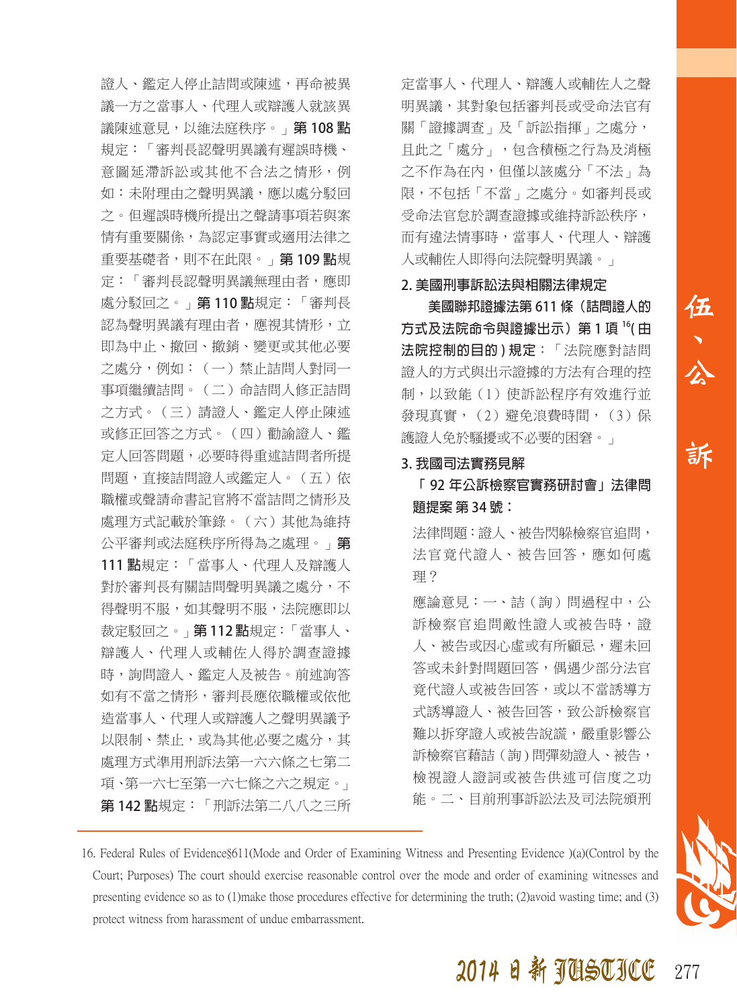證人、鑑定人停止詰問或陳述,再命被異 議一方之當事人、代理人或辯護人就該異 議陳述意見,以維法庭秩序。」**第 108 點** 規定:「審判長認聲明異議有遲誤時機、 意圖延滯訴訟或其他不合法之情形,例 如:未附理由之聲明異議,應以處分駁回 之。但遲誤時機所提出之聲請事項若與案 情有重要關係,為認定事實或適用法律之 重要基礎者,則不在此限。」**第 109 點**規 定:「審判長認聲明異議無理由者,應即 處分駁回之。」**第 110 點**規定:「審判長 認為聲明異議有理由者,應視其情形,立 即為中止、撤回、撤銷、變更或其他必要 之處分,例如:(一)禁止詰問人對同一 事項繼續詰問。(二)命詰問人修正詰問 之方式。(三)請證人、鑑定人停止陳述 或修正回答之方式。(四)勸諭證人、鑑 定人回答問題,必要時得重述詰問者所提 問題,直接詰問證人或鑑定人。(五)依 職權或聲請命書記官將不當詰問之情形及 處理方式記載於筆錄。(六)其他為維持 公平審判或法庭秩序所得為之處理。」**第 111 點**規定:「當事人、代理人及辯護人 對於審判長有關詰問聲明異議之處分,不 得聲明不服,法院應即以 裁定駁回之。」**第 112 點**規定:「當事人、 辯護人、代理人或輔佐人得於調查證據 時,詢問證人、鑑定人及被告。前述詢答 如有不當之情形,審判長應依職權或依他 造當事人、代理人或辯護人之聲明異議予 以限制、禁止,或為其他必要之處分,其 處理方式準用刑訴法第一六六條之七第二 項、第一六七至第一六七條之六之規定。」 **第 142 點**規定:「刑訴法第二八八之三所 定當事人、代理人、辯護人或輔佐人之聲 明異議,其對象包括審判長或受命法官有 關「證據調查」及「訴訟指揮」之處分, 且此之「處分」,包含積極之行為及消極 之不作為在內,但僅以該處分「不法」為 限,不包括「不當」之處分。如審判長或 受命法官怠於調查證據或維持訴訟秩序, 而有違法情事時,當事人、代理人、辯護 人或輔佐人即得向法院聲明異議。」

### **2. 美國刑事訴訟法與相關法律規定**

**美國聯邦證據法第 611 條(詰問證人的 方式及法院命令與證據出示)第 1 項 16( 由 法院控制的目的 ) 規定**:「法院應對詰問 證人的方式與出示證據的方法有合理的控 制,以致能(1)使訴訟程序有效進行並 發現真實,(2)避免浪費時間,(3)保 護證人免於騷擾或不必要的困窘。」

### **3. 我國司法實務見解**

**「 92 年公訴檢察官實務研討會」法律問 題提案 第 34 號:**

法律問題:證人、被告閃躲檢察官追問, 法官竟代證人、被告回答,應如何處 理?

應論意見:一、詰(詢)問過程中,公 訴檢察官追問敵性證人或被告時,證 人、被告或因心虛或有所顧忌,遲未回 答或未針對問題回答,偶遇少部分法官 竟代證人或被告回答,或以不當誘導方 式誘導證人、被告回答,致公訴檢察官 難以拆穿證人或被告說謊,嚴重影響公 訴檢察官藉詰 (詢) 問彈劾證人、被告, 檢視證人證詞或被告供述可信度之功 能。二、目前刑事訴訟法及司法院頒刑

16. Federal Rules of Evidence§611(Mode and Order of Examining Witness and Presenting Evidence )(a)(Control by the Court; Purposes) The court should exercise reasonable control over the mode and order of examining witnesses and presenting evidence so as to (1)make those procedures effective for determining the truth; (2)avoid wasting time; and (3) protect witness from harassment of undue embarrassment.



伍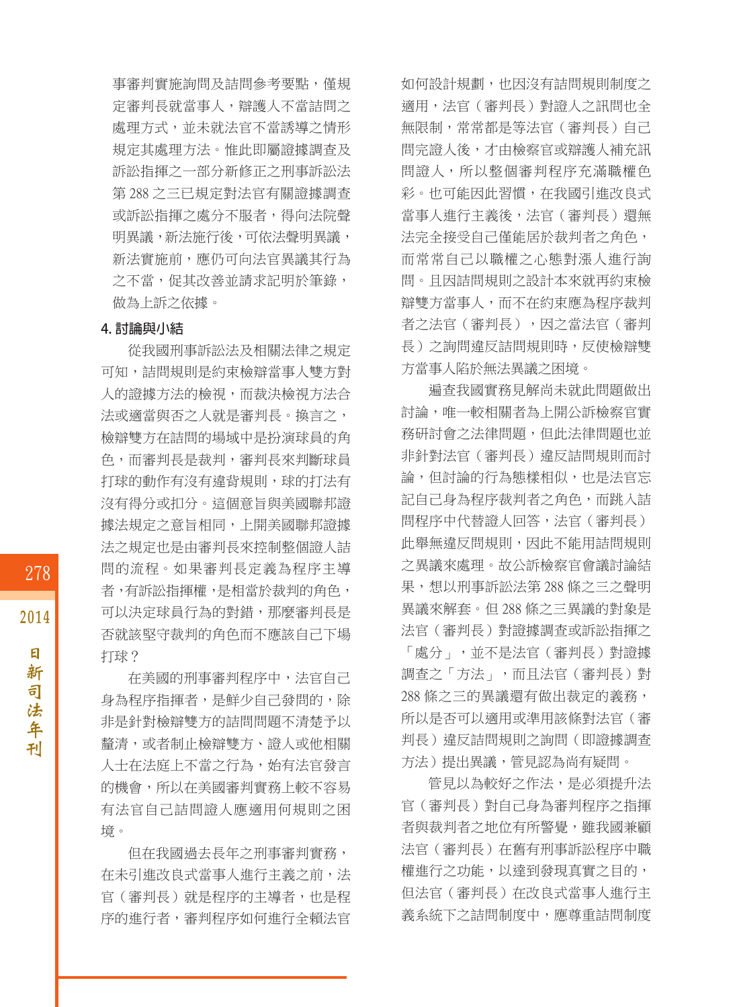事審判實施詢問及詰問參考要點,僅規 定審判長就當事人,辯護人不當詰問之 處理方式,並未就法官不當誘導之情形 規定其處理方法。惟此即屬證據調查及 訴訟指揮之一部分新修正之刑事訴訟法 第 288 之三已規定對法官有關證據調查 或訴訟指揮之處分不服者,得向法院聲 明異議,新法施行後,可依法聲明異議, 新法實施前,應仍可向法官異議其行為 之不當,促其改善並請求記明於筆錄, 做為上訴之依據。

### **4. 討論與小結**

從我國刑事訴訟法及相關法律之規定 可知,詰問規則是約束檢辯當事人雙方對 人的證據方法的檢視,而裁決檢視方法合 法或適當與否之人就是審判長。換言之, 檢辯雙方在詰問的場域中是扮演球員的角 色,而審判長是裁判,審判長來判斷球員 打球的動作有沒有違背規則,球的打法有 沒有得分或扣分。這個意旨與美國聯邦證 據法規定之意旨相同,上開美國聯邦證據 法之規定也是由審判長來控制整個證人詰 問的流程。如果審判長定義為程序主導 者,有訴訟指揮權,是相當於裁判的角色, 可以決定球員行為的對錯,那麼審判長是 否就該堅守裁判的角色而不應該自己下場 打球?

在美國的刑事審判程序中,法官自己 身為程序指揮者,是鮮少自己發問的,除 非是針對檢辯雙方的詰問問題不清楚予以 釐清,或者制止檢辯雙方、證人或他相關 人士在法庭上不當之行為,始有法官發言 的機會,所以在美國審判實務上較不容易 有法官自己詰問證人應適用何規則之困 境。

但在我國過去長年之刑事審判實務, 在未引進改良式當事人進行主義之前,法 官(審判長)就是程序的主導者,也是程 序的進行者,審判程序如何進行全賴法官

如何設計規劃,也因沒有詰問規則制度之 適用,法官(審判長)對證人之訊問也全 無限制,常常都是等法官(審判長)自己 問完證人後,才由檢察官或辯護人補充訊 問證人,所以整個審判程序充滿職權色 彩。也可能因此習慣,在我國引進改良式 當事人進行主義後,法官(審判長)還無 法完全接受自己僅能居於裁判者之角色, 而常常自己以職權之心態對漲人進行詢 問。且因詰問規則之設計本來就再約束檢 辯雙方當事人,而不在約束應為程序裁判 者之法官(審判長),因之當法官(審判 長)之詢問違反詰問規則時,反使檢辯雙 方當事人陷於無法異議之困境。

遍查我國實務見解尚未就此問題做出 討論,唯一較相關者為上開公訴檢察官實 務研討會之法律問題,但此法律問題也並 非針對法官(審判長)違反詰問規則而討 論,但討論的行為態樣相似,也是法官忘 記自己身為程序裁判者之角色,而跳入詰 問程序中代替證人回答,法官(審判長) 此舉無違反問規則,因此不能用詰問規則 之異議來處理。故公訴檢察官會議討論結 果,想以刑事訴訟法第 288 條之三之聲明 異議來解套。但 288 條之三異議的對象是 法官(審判長)對證據調查或訴訟指揮之 「處分」,並不是法官(審判長)對證據 調查之「方法」,而且法官(審判長)對 288 條之三的異議還有做出裁定的義務, 所以是否可以適用或準用該條對法官(審 判長)違反詰問規則之詢問(即證據調查 方法)提出異議,管見認為尚有疑問。

管見以為較好之作法,是必須提升法 官(審判長)對自己身為審判程序之指揮 者與裁判者之地位有所警覺,雖我國兼顧 法官(審判長)在舊有刑事訴訟程序中職 權進行之功能,以達到發現真實之目的, 但法官(審判長)在改良式當事人進行主 義系統下之詰問制度中,應尊重詰問制度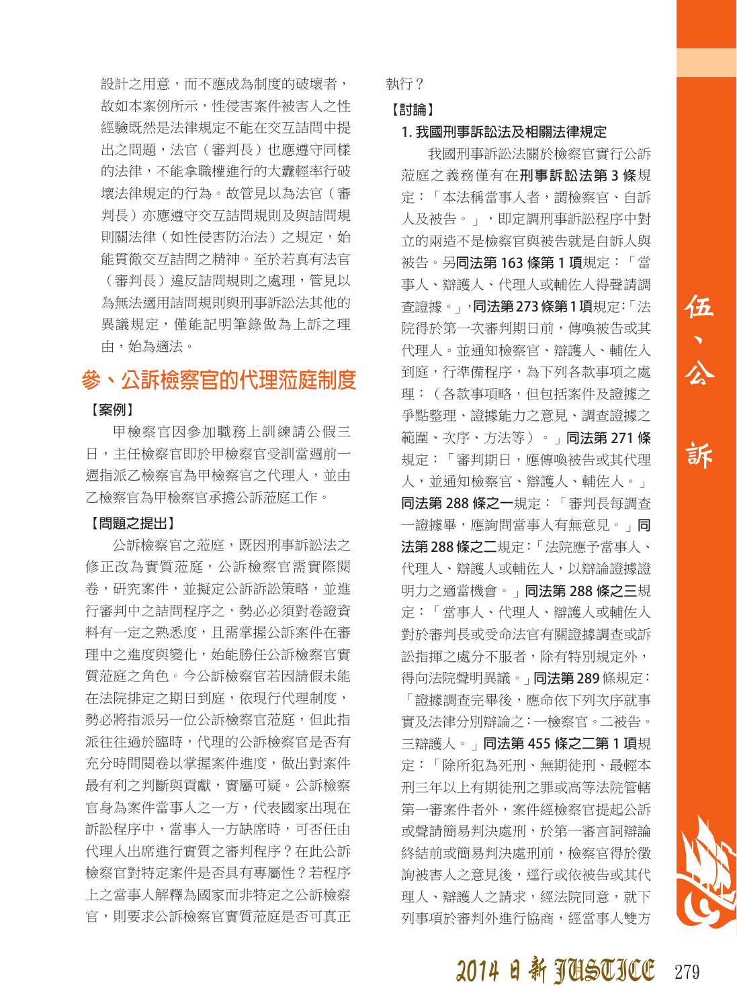設計之用意,而不應成為制度的破壞者, 故如本案例所示,性侵害案件被害人之性 經驗既然是法律規定不能在交互詰問中提 出之問題,法官(審判長)也應遵守同樣 的法律,不能拿職權進行的大纛輕率行破 壞法律規定的行為。故管見以為法官(審 判長)亦應遵守交互詰問規則及與詰問規 則關法律(如性侵害防治法)之規定,始 能貫徹交互詰問之精神。至於若真有法官 (審判長)違反詰問規則之處理,管見以 為無法適用詰問規則與刑事訴訟法其他的 異議規定,僅能記明筆錄做為上訴之理 由,始為適法。

## **參、公訴檢察官的代理蒞庭制度**

### **【案例】**

甲檢察官因參加職務上訓練請公假三 日,主任檢察官即於甲檢察官受訓當调前一 週指派乙檢察官為甲檢察官之代理人,並由 乙檢察官為甲檢察官承擔公訴蒞庭工作。

### **【問題之提出】**

公訴檢察官之蒞庭,既因刑事訴訟法之 修正改為實質蒞庭,公訴檢察官需實際閱 卷,研究案件,並擬定公訴訴訟策略,並進 行審判中之詰問程序之,勢必必須對卷證資 料有一定之熟悉度,且需掌握公訴案件在審 理中之進度與變化,始能勝任公訴檢察官實 質蒞庭之角色。今公訴檢察官若因請假未能 在法院排定之期日到庭,依現行代理制度, 勢必將指派另一位公訴檢察官蒞庭,但此指 派往往過於臨時,代理的公訴檢察官是否有 充分時間閱卷以掌握案件進度,做出對案件 最有利之判斷與貢獻,實屬可疑。公訴檢察 官身為案件當事人之一方,代表國家出現在 訴訟程序中,當事人一方缺席時,可否任由 代理人出席進行實質之審判程序?在此公訴 檢察官對特定案件是否具有專屬性?若程序 上之當事人解釋為國家而非特定之公訴檢察 官,則要求公訴檢察官實質蒞庭是否可真正 執行?

### **【討論】**

### **1. 我國刑事訴訟法及相關法律規定**

我國刑事訴訟法關於檢察官實行公訴 蒞庭之義務僅有在**刑事訴訟法第 3 條**規 定:「本法稱當事人者,謂檢察官、自訴 人及被告。」,即定調刑事訴訟程序中對 立的兩造不是檢察官與被告就是自訴人與 被告。另**同法第 163 條第 1 項**規定:「當 事人、辯護人、代理人或輔佐人得聲請調 查證據。」,**同法第 273 條第 1 項**規定:「法 院得於第一次審判期日前,傳喚被告或其 代理人。並通知檢察官、辯護人、輔佐人 到庭,行準備程序,為下列各款事項之處 理:(各款事項略,但包括案件及證據之 爭點整理、證據能力之意見、調查證據之 範圍、次序、方法等)。」**同法第 271 條** 規定:「審判期日,應傳喚被告或其代理 人,並通知檢察官、辯護人、輔佐人。」 **同法第 288 條之一**規定:「審判長每調查 一證據畢,應詢問當事人有無意見。」**同 法第 288 條之二**規定:「法院應予當事人、 代理人、辯護人或輔佐人,以辯論證據證 明力之適當機會。」**同法第 288 條之三**規 定:「當事人、代理人、辯護人或輔佐人 對於審判長或受命法官有關證據調查或訴 訟指揮之處分不服者,除有特別規定外, 得向法院聲明異議。」**同法第 289** 條規定: 「證據調查完畢後,應命依下列次序就事 實及法律分別辯論之:一檢察官。二被告。 三辯護人。」**同法第 455 條之二第 1 項**規 定:「除所犯為死刑、無期徒刑、最輕本 刑三年以上有期徒刑之罪或高等法院管轄 第一審案件者外,案件經檢察官提起公訴 或聲請簡易判決處刑,於第一審言詞辯論 終結前或簡易判決處刑前,檢察官得於徵 詢被害人之意見後,逕行或依被告或其代 理人、辯護人之請求,經法院同意,就下 列事項於審判外進行協商,經當事人雙方



伍

訴

2014 日新 JUSTJUE 279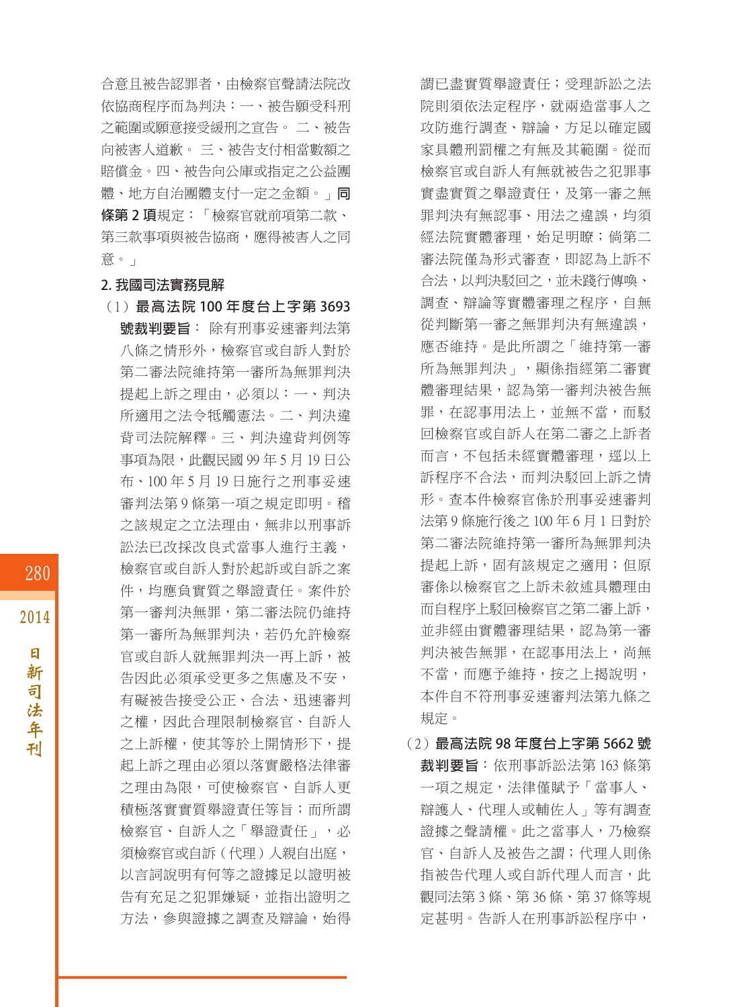合意且被告認罪者,由檢察官聲請法院改 依協商程序而為判決:一、被告願受科刑 之範圍或願意接受緩刑之宣告。 二、被告 向被害人道歉。 三、被告支付相當數額之 賠償金。四、被告向公庫或指定之公益團 體、地方自治團體支付一定之金額。」**同 條第 2 項**規定:「檢察官就前項第二款、 第三款事項與被告協商,應得被害人之同 意。」

- **2. 我國司法實務見解**
- (1)**最 高 法 院 100 年 度 台 上 字 第 3693 號裁判要旨**: 除有刑事妥速審判法第 八條之情形外,檢察官或自訴人對於 第二審法院維持第一審所為無罪判決 提起上訴之理由,必須以:一、判決 所適用之法令牴觸憲法。二、判決違 背司法院解釋。三、判決違背判例等 事項為限,此觀民國 99 年 5 月 19 日公 布、100 年 5 月 19 日施行之刑事妥速 審判法第 9 條第一項之規定即明。稽 之該規定之立法理由,無非以刑事訴 訟法已改採改良式當事人進行主義, 檢察官或自訴人對於起訴或自訴之案 件,均應負實質之舉證責任。案件於 第一審判決無罪,第二審法院仍維持 第一審所為無罪判決,若仍允許檢察 官或自訴人就無罪判決一再上訴,被 告因此必須承受更多之焦慮及不安, 有礙被告接受公正、合法、迅速審判 之權,因此合理限制檢察官、自訴人 之上訴權,使其等於上開情形下,提 起上訴之理由必須以落實嚴格法律審 之理由為限,可使檢察官、自訴人更 積極落實實質舉證責任等旨;而所謂 檢察官、自訴人之「舉證責任」,必 須檢察官或自訴(代理)人親自出庭, 以言詞說明有何等之證據足以證明被 告有充足之犯罪嫌疑,並指出證明之 方法,參與證據之調查及辯論,始得

謂已盡實質舉證責任;受理訴訟之法 院則須依法定程序,就兩造當事人之 攻防進行調查、辯論,方足以確定國 家具體刑罰權之有無及其範圍。從而 檢察官或自訴人有無就被告之犯罪事 實盡實質之舉證責任,及第一審之無 罪判決有無認事、用法之違誤,均須 經法院實體審理,始足明瞭;倘第二 審法院僅為形式審查,即認為上訴不 合法,以判決駁回之,並未踐行傳喚、 調查、辯論等實體審理之程序,自無 從判斷第一審之無罪判決有無違誤, 應否維持。是此所謂之「維持第一審 所為無罪判決」,顯係指經第二審實 體審理結果,認為第一審判決被告無 罪,在認事用法上,並無不當,而駁 回檢察官或自訴人在第二審之上訴者 而言,不包括未經實體審理,逕以上 訴程序不合法,而判決駁回上訴之情 形。查本件檢察官係於刑事妥速審判 法第 9 條施行後之 100 年 6 月 1 日對於 第二審法院維持第一審所為無罪判決 提起上訴,固有該規定之適用;但原 審係以檢察官之上訴未敘述具體理由 而自程序上駁回檢察官之第二審上訴, 並非經由實體審理結果,認為第一審 判決被告無罪,在認事用法上,尚無 不當,而應予維持,按之上揭說明, 本件自不符刑事妥速審判法第九條之 規定。

(2)**最高法院 98 年度台上字第 5662 號 裁判要旨**:依刑事訴訟法第 163 條第 一項之規定,法律僅賦予「當事人、 辯護人、代理人或輔佐人」等有調查 證據之聲請權。此之當事人,乃檢察 官、自訴人及被告之謂;代理人則係 指被告代理人或自訴代理人而言,此 觀同法第 3 條、第 36 條、第 37 條等規 定甚明。告訴人在刑事訴訟程序中,

2014日新司法年刊

280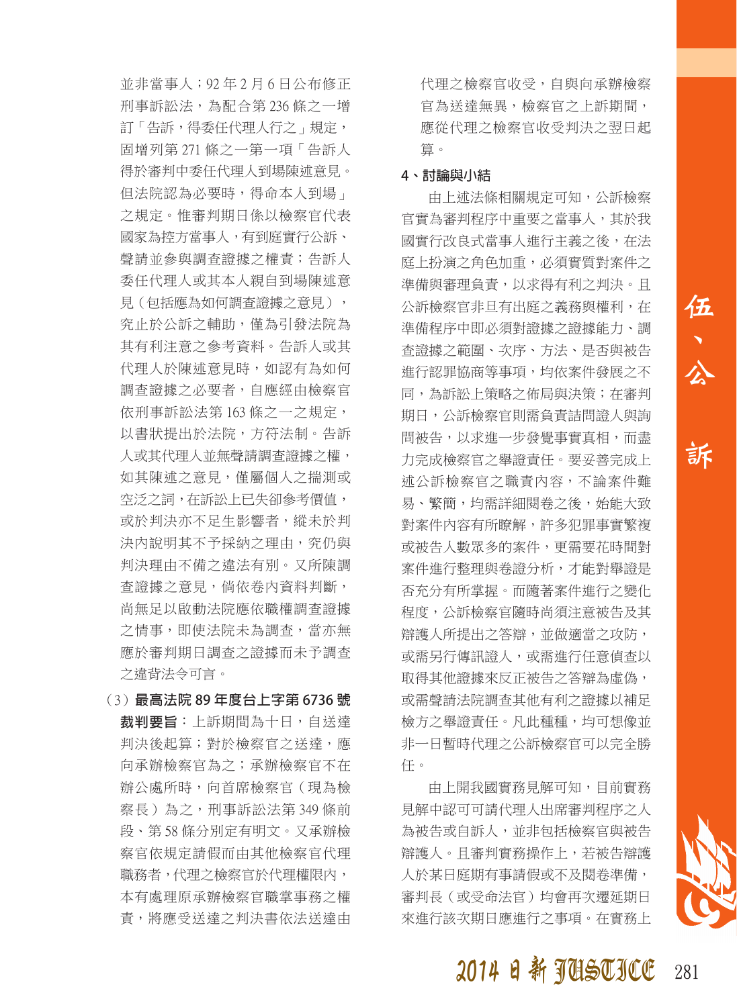並非當事人;92 年 2 月 6 日公布修正 刑事訴訟法,為配合第 236 條之一增 訂「告訴,得委任代理人行之」規定, 固增列第 271 條之一第一項「告訴人 得於審判中委任代理人到場陳述意見。 但法院認為必要時,得命本人到場」 之規定。惟審判期日係以檢察官代表 國家為控方當事人,有到庭實行公訴、 聲請並參與調查證據之權責;告訴人 委任代理人或其本人親自到場陳述意 見(包括應為如何調查證據之意見), 究止於公訴之輔助,僅為引發法院為 其有利注意之參考資料。告訴人或其 代理人於陳述意見時,如認有為如何 調查證據之必要者,自應經由檢察官 依刑事訴訟法第 163 條之一之規定, 以書狀提出於法院,方符法制。告訴 人或其代理人並無聲請調查證據之權, 如其陳述之意見,僅屬個人之揣測或 空泛之詞,在訴訟上已失卻參考價值, 或於判決亦不足生影響者,縱未於判 決內說明其不予採納之理由,究仍與 判決理由不備之違法有別。又所陳調 查證據之意見,倘依卷內資料判斷, 尚無足以啟動法院應依職權調查證據 之情事,即使法院未為調查,當亦無 應於審判期日調查之證據而未予調查 之違背法令可言。

(3)**最高法院 89 年度台上字第 6736 號 裁判要旨**:上訴期間為十日,自送達 判決後起算;對於檢察官之送達,應 向承辦檢察官為之;承辦檢察官不在 辦公處所時,向首席檢察官(現為檢 察長)為之,刑事訴訟法第 349 條前 段、第 58 條分別定有明文。又承辦檢 察官依規定請假而由其他檢察官代理 職務者,代理之檢察官於代理權限內, 本有處理原承辦檢察官職掌事務之權 責,將應受送達之判決書依法送達由 代理之檢察官收受,自與向承辦檢察 官為送達無異,檢察官之上訴期間, 應從代理之檢察官收受判決之翌日起 算。

### **4、討論與小結**

由上述法條相關規定可知,公訴檢察 官實為審判程序中重要之當事人,其於我 國實行改良式當事人進行主義之後,在法 庭上扮演之角色加重,必須實質對案件之 準備與審理負責,以求得有利之判決。且 公訴檢察官非旦有出庭之義務與權利,在 準備程序中即必須對證據之證據能力、調 查證據之範圍、次序、方法、是否與被告 進行認罪協商等事項,均依案件發展之不 同,為訴訟上策略之佈局與決策;在審判 期日,公訴檢察官則需負責詰問證人與詢 問被告,以求進一步發覺事實真相,而盡 力完成檢察官之舉證責任。要妥善完成上 述公訴檢察官之職責內容,不論案件難 易、繁簡,均需詳細閱卷之後,始能大致 對案件內容有所瞭解,許多犯罪事實繁複 或被告人數眾多的案件,更需要花時間對 案件進行整理與卷證分析,才能對舉證是 否充分有所掌握。而隨著案件進行之變化 程度,公訴檢察官隨時尚須注意被告及其 辯護人所提出之答辯,並做適當之攻防, 或需另行傳訊證人,或需進行任意偵查以 取得其他證據來反正被告之答辯為虛偽, 或需聲請法院調查其他有利之證據以補足 檢方之舉證責任。凡此種種,均可想像並 非一日暫時代理之公訴檢察官可以完全勝 任。

由上開我國實務見解可知,目前實務 見解中認可可請代理人出席審判程序之人 為被告或自訴人,並非包括檢察官與被告 辯護人。且審判實務操作上,若被告辯護 人於某日庭期有事請假或不及閱卷準備, 審判長(或受命法官)均會再次遷延期日 來進行該次期日應進行之事項。在實務上



伍

訴

2014 日新 JUSTICE <sup>281</sup>